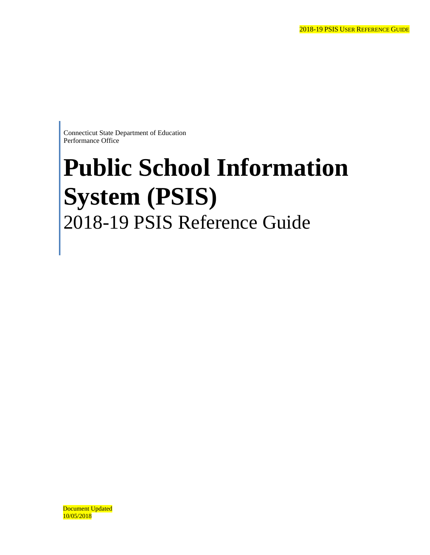Connecticut State Department of Education Performance Office

# **Public School Information System (PSIS)**  2018-19 PSIS Reference Guide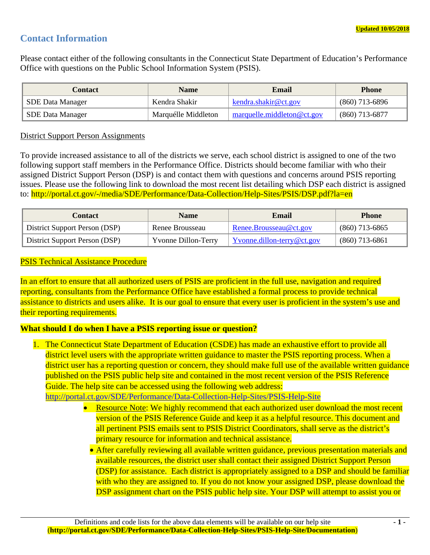# **Contact Information**

Please contact either of the following consultants in the Connecticut State Department of Education's Performance Office with questions on the Public School Information System (PSIS).

| Contact                 | <b>Name</b>         | Email                      | <b>Phone</b>     |
|-------------------------|---------------------|----------------------------|------------------|
| SDE Data Manager        | Kendra Shakir       | kendra.shakir@ct.gov       | $(860)$ 713-6896 |
| <b>SDE Data Manager</b> | Marquélle Middleton | marguelle.middleton@ct.gov | $(860)$ 713-6877 |

## District Support Person Assignments

To provide increased assistance to all of the districts we serve, each school district is assigned to one of the two following support staff members in the Performance Office. Districts should become familiar with who their assigned District Support Person (DSP) is and contact them with questions and concerns around PSIS reporting issues. Please use the following link to download the most recent list detailing which DSP each district is assigned to: http://portal.ct.gov/-/media/SDE/Performance/Data-Collection/Help-Sites/PSIS/DSP.pdf?la=en

| <b>Contact</b>                | <b>Name</b>                | Email                      | <b>Phone</b>     |
|-------------------------------|----------------------------|----------------------------|------------------|
| District Support Person (DSP) | Renee Brousseau            | Renee.Brousseau@ct.gov     | $(860)$ 713-6865 |
| District Support Person (DSP) | <b>Yvonne Dillon-Terry</b> | Yvonne.dillon-terry@ct.gov | $(860)$ 713-6861 |

## PSIS Technical Assistance Procedure

In an effort to ensure that all authorized users of PSIS are proficient in the full use, navigation and required reporting, consultants from the Performance Office have established a formal process to provide technical assistance to districts and users alike. It is our goal to ensure that every user is proficient in the system's use and their reporting requirements.

# **What should I do when I have a PSIS reporting issue or question?**

1. The Connecticut State Department of Education (CSDE) has made an exhaustive effort to provide all district level users with the appropriate written guidance to master the PSIS reporting process. When a district user has a reporting question or concern, they should make full use of the available written guidance published on the PSIS public help site and contained in the most recent version of the PSIS Reference Guide. The help site can be accessed using the following web address:

http://portal.ct.gov/SDE/Performance/Data-Collection-Help-Sites/PSIS-Help-Site

- Resource Note: We highly recommend that each authorized user download the most recent version of the PSIS Reference Guide and keep it as a helpful resource. This document and all pertinent PSIS emails sent to PSIS District Coordinators, shall serve as the district's primary resource for information and technical assistance.
	- After carefully reviewing all available written guidance, previous presentation materials and available resources, the district user shall contact their assigned District Support Person (DSP) for assistance. Each district is appropriately assigned to a DSP and should be familiar with who they are assigned to. If you do not know your assigned DSP, please download the DSP assignment chart on the PSIS public help site. Your DSP will attempt to assist you or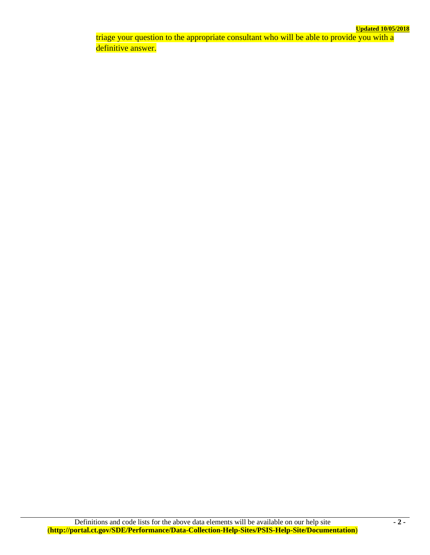triage your question to the appropriate consultant who will be able to provide you with a definitive answer.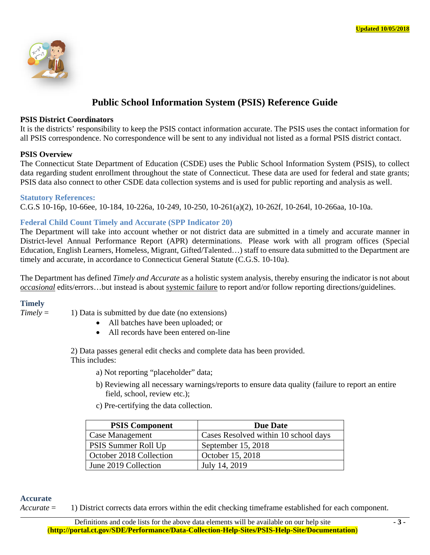

# **Public School Information System (PSIS) Reference Guide**

#### **PSIS District Coordinators**

It is the districts' responsibility to keep the PSIS contact information accurate. The PSIS uses the contact information for all PSIS correspondence. No correspondence will be sent to any individual not listed as a formal PSIS district contact.

## **PSIS Overview**

The Connecticut State Department of Education (CSDE) uses the Public School Information System (PSIS), to collect data regarding student enrollment throughout the state of Connecticut. These data are used for federal and state grants; PSIS data also connect to other CSDE data collection systems and is used for public reporting and analysis as well.

#### **Statutory References:**

C.G.S 10-16p, 10-66ee, 10-184, 10-226a, 10-249, 10-250, 10-261(a)(2), 10-262f, 10-264l, 10-266aa, 10-10a.

# **Federal Child Count Timely and Accurate (SPP Indicator 20)**

The Department will take into account whether or not district data are submitted in a timely and accurate manner in District-level Annual Performance Report (APR) determinations. Please work with all program offices (Special Education, English Learners, Homeless, Migrant, Gifted/Talented…) staff to ensure data submitted to the Department are timely and accurate, in accordance to Connecticut General Statute (C.G.S. 10-10a).

The Department has defined *Timely and Accurate* as a holistic system analysis, thereby ensuring the indicator is not about *occasional* edits/errors…but instead is about systemic failure to report and/or follow reporting directions/guidelines.

# **Timely**

- *Timely* = 1) Data is submitted by due date (no extensions)
	- All batches have been uploaded; or
	- All records have been entered on-line

2) Data passes general edit checks and complete data has been provided. This includes:

a) Not reporting "placeholder" data;

- b) Reviewing all necessary warnings/reports to ensure data quality (failure to report an entire field, school, review etc.);
- c) Pre-certifying the data collection.

| <b>PSIS Component</b>   | <b>Due Date</b>                      |
|-------------------------|--------------------------------------|
| Case Management         | Cases Resolved within 10 school days |
| PSIS Summer Roll Up     | September 15, 2018                   |
| October 2018 Collection | October 15, 2018                     |
| June 2019 Collection    | July 14, 2019                        |

## **Accurate**

*Accurate* = 1) District corrects data errors within the edit checking timeframe established for each component.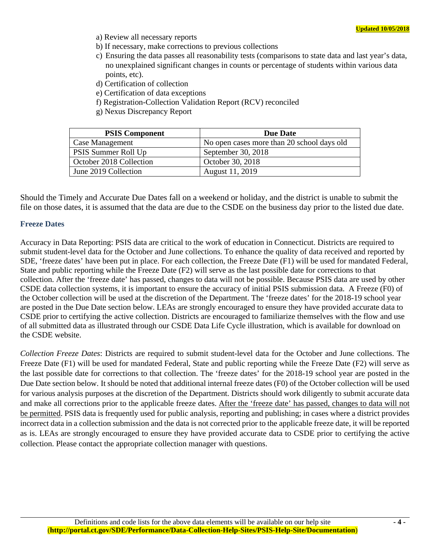- a) Review all necessary reports
- b) If necessary, make corrections to previous collections
- c) Ensuring the data passes all reasonability tests (comparisons to state data and last year's data, no unexplained significant changes in counts or percentage of students within various data points, etc).
- d) Certification of collection
- e) Certification of data exceptions
- f) Registration-Collection Validation Report (RCV) reconciled
- g) Nexus Discrepancy Report

| <b>PSIS Component</b>   | <b>Due Date</b>                            |
|-------------------------|--------------------------------------------|
| Case Management         | No open cases more than 20 school days old |
| PSIS Summer Roll Up     | September 30, 2018                         |
| October 2018 Collection | October 30, 2018                           |
| June 2019 Collection    | August 11, 2019                            |

Should the Timely and Accurate Due Dates fall on a weekend or holiday, and the district is unable to submit the file on those dates, it is assumed that the data are due to the CSDE on the business day prior to the listed due date.

#### **Freeze Dates**

Accuracy in Data Reporting: PSIS data are critical to the work of education in Connecticut. Districts are required to submit student-level data for the October and June collections. To enhance the quality of data received and reported by SDE, 'freeze dates' have been put in place. For each collection, the Freeze Date (F1) will be used for mandated Federal, State and public reporting while the Freeze Date (F2) will serve as the last possible date for corrections to that collection. After the 'freeze date' has passed, changes to data will not be possible. Because PSIS data are used by other CSDE data collection systems, it is important to ensure the accuracy of initial PSIS submission data. A Freeze (F0) of the October collection will be used at the discretion of the Department. The 'freeze dates' for the 2018-19 school year are posted in the Due Date section below. LEAs are strongly encouraged to ensure they have provided accurate data to CSDE prior to certifying the active collection. Districts are encouraged to familiarize themselves with the flow and use of all submitted data as illustrated through our CSDE Data Life Cycle illustration, which is available for download on the CSDE website.

*Collection Freeze Dates*: Districts are required to submit student-level data for the October and June collections. The Freeze Date (F1) will be used for mandated Federal, State and public reporting while the Freeze Date (F2) will serve as the last possible date for corrections to that collection. The 'freeze dates' for the 2018-19 school year are posted in the Due Date section below. It should be noted that additional internal freeze dates (F0) of the October collection will be used for various analysis purposes at the discretion of the Department. Districts should work diligently to submit accurate data and make all corrections prior to the applicable freeze dates. After the 'freeze date' has passed, changes to data will not be permitted. PSIS data is frequently used for public analysis, reporting and publishing; in cases where a district provides incorrect data in a collection submission and the data is not corrected prior to the applicable freeze date, it will be reported as is. LEAs are strongly encouraged to ensure they have provided accurate data to CSDE prior to certifying the active collection. Please contact the appropriate collection manager with questions.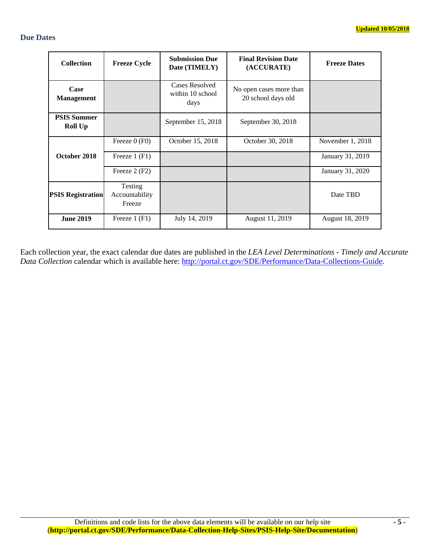## **Due Dates**

| <b>Collection</b>                    | <b>Freeze Cycle</b>                 | <b>Submission Due</b><br>Date (TIMELY)     | <b>Final Revision Date</b><br>(ACCURATE)      | <b>Freeze Dates</b> |
|--------------------------------------|-------------------------------------|--------------------------------------------|-----------------------------------------------|---------------------|
| Case<br><b>Management</b>            |                                     | Cases Resolved<br>within 10 school<br>days | No open cases more than<br>20 school days old |                     |
| <b>PSIS Summer</b><br><b>Roll Up</b> |                                     | September 15, 2018                         | September 30, 2018                            |                     |
|                                      | Freeze $0$ (F0)                     | October 15, 2018                           | October 30, 2018                              | November 1, 2018    |
| October 2018                         | Freeze $1$ (F1)                     |                                            |                                               | January 31, 2019    |
|                                      | Freeze $2(F2)$                      |                                            |                                               | January 31, 2020    |
| <b>PSIS Registration</b>             | Testing<br>Accountability<br>Freeze |                                            |                                               | Date TBD            |
| <b>June 2019</b>                     | Freeze $1$ (F1)                     | July 14, 2019                              | August 11, 2019                               | August 18, 2019     |

Each collection year, the exact calendar due dates are published in the *LEA Level Determinations - Timely and Accurate Data Collection* calendar which is available here: http://portal.ct.gov/SDE/Performance/Data-Collections-Guide.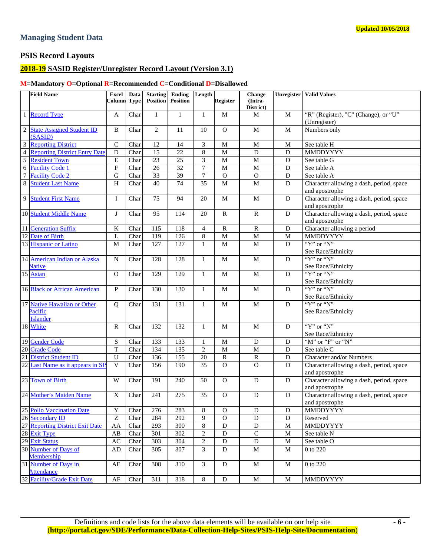#### **Managing Student Data**

# **PSIS Record Layouts**

## **2018-19 SASID Register/Unregister Record Layout (Version 3.1)**

#### **M=Mandatory O=Optional R=Recommended C=Conditional D=Disallowed**

|                 | <b>Field Name</b>                           | Excel<br>Column Type | Data | <b>Starting</b><br><b>Position</b> | Ending<br><b>Position</b> | Length                      | <b>Register</b> | Change<br>(Intra- |                | <b>Unregister   Valid Values</b>                           |
|-----------------|---------------------------------------------|----------------------|------|------------------------------------|---------------------------|-----------------------------|-----------------|-------------------|----------------|------------------------------------------------------------|
|                 |                                             |                      |      |                                    |                           |                             |                 | District)         |                |                                                            |
| $\mathbf{1}$    | <b>Record Type</b>                          | A                    | Char | $\mathbf{1}$                       | $\mathbf{1}$              | $\mathbf{1}$                | M               | M                 | M              | "R" (Register), "C" (Change), or "U"<br>(Unregister)       |
| $\sqrt{2}$      | <b>State Assigned Student ID</b><br>(SASID) | B                    | Char | 2                                  | 11                        | 10                          | $\mathbf{O}$    | ${\bf M}$         | $\mathbf M$    | Numbers only                                               |
| 3               | <b>Reporting District</b>                   | $\mathbf C$          | Char | 12                                 | 14                        | $\ensuremath{\mathfrak{Z}}$ | M               | M                 | M              | See table H                                                |
| $\overline{4}$  | <b>Reporting District Entry Date</b>        | $\mathbf D$          | Char | 15                                 | $\overline{22}$           | $\,8\,$                     | $\mathbf M$     | D                 | ${\bf D}$      | MMDDYYYY                                                   |
| $\overline{5}$  | <b>Resident Town</b>                        | $\overline{E}$       | Char | 23                                 | $\overline{25}$           | $\mathfrak{Z}$              | $\mathbf{M}$    | $\mathbf{M}$      | $\overline{D}$ | See table G                                                |
| $\sqrt{6}$      | <b>Facility Code 1</b>                      | $\overline{F}$       | Char | $\overline{26}$                    | 32                        | $\tau$                      | $\overline{M}$  | $\overline{M}$    | $\overline{D}$ | See table A                                                |
| $\overline{7}$  | <b>Facility Code 2</b>                      | $\mathbf G$          | Char | 33                                 | 39                        | $\tau$                      | $\mathbf O$     | $\mathcal{O}$     | ${\rm D}$      | See table A                                                |
| $\overline{8}$  | <b>Student Last Name</b>                    | $\overline{H}$       | Char | 40                                 | 74                        | 35                          | $\overline{M}$  | M                 | ${\bf D}$      | Character allowing a dash, period, space<br>and apostrophe |
| 9               | <b>Student First Name</b>                   | I                    | Char | 75                                 | 94                        | 20                          | $\mathbf M$     | $\mathbf{M}$      | ${\bf D}$      | Character allowing a dash, period, space<br>and apostrophe |
|                 | 10 Student Middle Name                      | J                    | Char | 95                                 | 114                       | 20                          | $\mathbf R$     | $\mathbb{R}$      | ${\bf D}$      | Character allowing a dash, period, space<br>and apostrophe |
| 11              | <b>Generation Suffix</b>                    | $\rm K$              | Char | 115                                | 118                       | $\overline{4}$              | $\mathbf R$     | $\mathbb{R}$      | ${\bf D}$      | Character allowing a period                                |
|                 | 12 Date of Birth                            | L                    | Char | 119                                | 126                       | $\,$ 8 $\,$                 | $\mathbf M$     | $\mathbf M$       | $\mathbf M$    | MMDDYYYY                                                   |
|                 | 13 Hispanic or Latino                       | M                    | Char | 127                                | 127                       | $\mathbf{1}$                | $\mathbf M$     | M                 | D              | "Y" or "N"                                                 |
|                 |                                             |                      |      |                                    |                           |                             |                 |                   |                | See Race/Ethnicity                                         |
|                 | 14 American Indian or Alaska                | N                    | Char | 128                                | 128                       | $\mathbf{1}$                | $\mathbf M$     | M                 | ${\bf D}$      | "Y" or "N"                                                 |
|                 | <b>Native</b>                               |                      |      |                                    |                           |                             |                 |                   |                | See Race/Ethnicity                                         |
|                 | 15 Asian                                    | $\mathbf O$          | Char | 129                                | 129                       | $\mathbf{1}$                | $\mathbf M$     | $\mathbf M$       | ${\bf D}$      | "Y" or "N"<br>See Race/Ethnicity                           |
|                 | 16 Black or African American                | $\mathbf{P}$         | Char | 130                                | 130                       | $\mathbf{1}$                | M               | ${\bf M}$         | ${\bf D}$      | " $Y$ " or " $N$ "<br>See Race/Ethnicity                   |
|                 | 17 Native Hawaiian or Other<br>Pacific      | Q                    | Char | 131                                | 131                       | $\mathbf{1}$                | $\mathbf M$     | ${\bf M}$         | ${\bf D}$      | " $Y$ " or " $N$ "<br>See Race/Ethnicity                   |
|                 | <b>Islander</b><br>18 White                 | $\mathbb{R}$         | Char | 132                                | 132                       | $\mathbf{1}$                | $\mathbf M$     | M                 | D              | "Y" or "N"                                                 |
|                 |                                             |                      |      |                                    |                           |                             |                 |                   |                | See Race/Ethnicity                                         |
|                 | 19 Gender Code                              | ${\bf S}$            | Char | 133                                | 133                       | $\mathbf{1}$                | $\mathbf M$     | $\mathbf D$       | ${\bf D}$      | "M" or "F" or "N"                                          |
| 20              | <b>Grade Code</b>                           | $\mathbf T$          | Char | 134                                | 135                       | $\mathfrak{2}$              | $\mathbf{M}$    | M                 | D              | See table C                                                |
| $\overline{21}$ | <b>District Student ID</b>                  | $\overline{U}$       | Char | 136                                | 155                       | 20                          | $\mathbf R$     | $\mathbb{R}$      | $\mathbf D$    | Character and/or Numbers                                   |
| $\overline{22}$ | Last Name as it appears in SI               | $\mathbf{V}$         | Char | 156                                | 190                       | 35                          | $\mathbf{O}$    | $\overline{O}$    | $\mathbf D$    | Character allowing a dash, period, space<br>and apostrophe |
|                 | 23 Town of Birth                            | W                    | Char | 191                                | 240                       | 50                          | $\mathbf O$     | $\mathbf D$       | ${\bf D}$      | Character allowing a dash, period, space<br>and apostrophe |
|                 | 24 Mother's Maiden Name                     | $\mathbf X$          | Char | 241                                | 275                       | 35                          | $\mathbf{O}$    | $\mathbf D$       | D              | Character allowing a dash, period, space<br>and apostrophe |
|                 | 25 Polio Vaccination Date                   | Y                    | Char | 276                                | 283                       | 8                           | $\mathbf{O}$    | D                 | D              | MMDDYYYY                                                   |
|                 | 26 Secondary ID                             | Z                    | Char | 284                                | 292                       | 9                           | $\Omega$        | D                 | D              | Reserved                                                   |
|                 | 27 Reporting District Exit Date             | AA                   | Char | 293                                | 300                       | $\,8\,$                     | D               | ${\bf D}$         | $\mathbf M$    | MMDDYYYY                                                   |
|                 | 28 Exit Type                                | AB                   | Char | 301                                | 302                       | $\overline{2}$              | D               | $\mathbf C$       | M              | See table N                                                |
|                 | 29 Exit Status                              | AC                   | Char | 303                                | 304                       | $\sqrt{2}$                  | $\mathbf D$     | ${\bf D}$         | $\mathbf M$    | See table O                                                |
|                 | 30 Number of Days of<br>Membership          | AD                   | Char | 305                                | 307                       | 3                           | $\mathbf D$     | $\mathbf M$       | $\mathbf M$    | 0 to 220                                                   |
|                 | 31 Number of Days in<br><b>Attendance</b>   | AE                   | Char | 308                                | 310                       | 3                           | ${\bf D}$       | M                 | M              | 0 to 220                                                   |
|                 | 32 Facility/Grade Exit Date                 | AF                   | Char | 311                                | 318                       | $\,8\,$                     | ${\bf D}$       | $\mathbf M$       | M              | MMDDYYYY                                                   |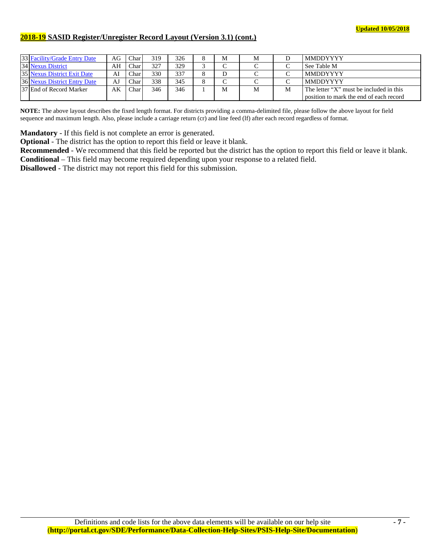## **2018-19 SASID Register/Unregister Record Layout (Version 3.1) (cont.)**

| 33 Facility/Grade Entry Date | AG | Char          | 319 | 326 | $\circ$<br>Õ       | M      | М |   | <b>MMDDYYYY</b>                         |
|------------------------------|----|---------------|-----|-----|--------------------|--------|---|---|-----------------------------------------|
| 34 Nexus District            | AH | Char          | 327 | 329 |                    | $\sim$ |   |   | See Table M                             |
| 35 Nexus District Exit Date  | AI | $\text{Char}$ | 330 | 337 | $\Omega$           |        |   |   | <b>MMDDYYYY</b>                         |
| 36 Nexus District Entry Date | AJ | $\text{Char}$ | 338 | 345 | $\circ$<br>$\circ$ | ⌒      |   | ⌒ | <b>MMDDYYYY</b>                         |
| 37 End of Record Marker      | AK | ${\rm Char}$  | 346 | 346 |                    | M      | M | M | The letter "X" must be included in this |
|                              |    |               |     |     |                    |        |   |   | position to mark the end of each record |

**NOTE:** The above layout describes the fixed length format. For districts providing a comma-delimited file, please follow the above layout for field sequence and maximum length. Also, please include a carriage return (cr) and line feed (lf) after each record regardless of format.

**Mandatory** - If this field is not complete an error is generated.

**Optional** - The district has the option to report this field or leave it blank.

**Recommended** - We recommend that this field be reported but the district has the option to report this field or leave it blank. **Conditional** – This field may become required depending upon your response to a related field.

**Disallowed** - The district may not report this field for this submission.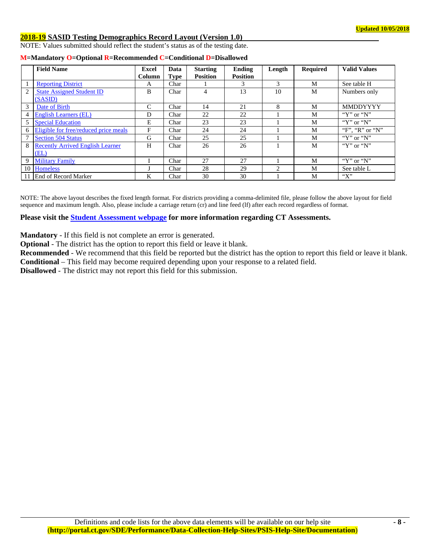#### **2018-19 SASID Testing Demographics Record Layout (Version 1.0)**

NOTE: Values submitted should reflect the student's status as of the testing date.

|                 | <b>Field Name</b>                       | <b>Excel</b>  | Data        | <b>Starting</b> | <b>Ending</b>   | Length | <b>Required</b> | <b>Valid Values</b> |
|-----------------|-----------------------------------------|---------------|-------------|-----------------|-----------------|--------|-----------------|---------------------|
|                 |                                         | Column        | <b>Type</b> | <b>Position</b> | <b>Position</b> |        |                 |                     |
|                 | <b>Reporting District</b>               | A             | Char        |                 | 3               | 3      | M               | See table H         |
| 2               | <b>State Assigned Student ID</b>        | B             | Char        | 4               | 13              | 10     | M               | Numbers only        |
|                 | (SASID)                                 |               |             |                 |                 |        |                 |                     |
| 3               | Date of Birth                           | $\mathcal{C}$ | Char        | 14              | 21              | 8      | M               | <b>MMDDYYYY</b>     |
| 4               | <b>English Learners (EL)</b>            | D             | Char        | 22              | 22              |        | M               | " $Y$ " or " $N$ "  |
| 5               | <b>Special Education</b>                | E             | Char        | 23              | 23              |        | M               | " $Y$ " or " $N$ "  |
| 6               | Eligible for free/reduced price meals   | F             | Char        | 24              | 24              |        | M               | "F", "R" or "N"     |
| 7               | Section 504 Status                      | G             | Char        | 25              | 25              |        | M               | " $Y$ " or " $N$ "  |
| 8               | <b>Recently Arrived English Learner</b> | H             | Char        | 26              | 26              |        | M               | " $Y$ " or " $N$ "  |
|                 | (EL)                                    |               |             |                 |                 |        |                 |                     |
| 9               | <b>Military Family</b>                  |               | Char        | 27              | 27              |        | M               | " $Y$ " or " $N$ "  |
| 10 <sup>1</sup> | <b>Homeless</b>                         |               | Char        | 28              | 29              | 2      | M               | See table L         |
| 11              | <b>End of Record Marker</b>             | K             | Char        | 30              | 30              |        | M               | " $X$ "             |

|  |  |  |  |  | M=Mandatory O=Optional R=Recommended C=Conditional D=Disallowed |
|--|--|--|--|--|-----------------------------------------------------------------|
|--|--|--|--|--|-----------------------------------------------------------------|

NOTE: The above layout describes the fixed length format. For districts providing a comma-delimited file, please follow the above layout for field sequence and maximum length. Also, please include a carriage return (cr) and line feed (lf) after each record regardless of format.

**Please visit the Student Assessment webpage for more information regarding CT Assessments.** 

**Mandatory** - If this field is not complete an error is generated.

**Optional** - The district has the option to report this field or leave it blank.

**Recommended** - We recommend that this field be reported but the district has the option to report this field or leave it blank. **Conditional** – This field may become required depending upon your response to a related field.

**Disallowed** - The district may not report this field for this submission.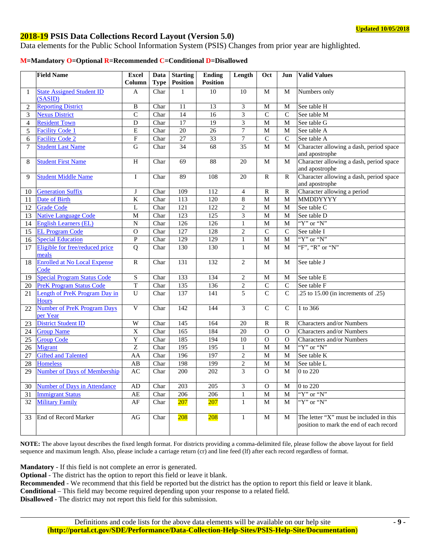## **2018-19 PSIS Data Collections Record Layout (Version 5.0)**

Data elements for the Public School Information System (PSIS) Changes from prior year are highlighted.

#### **M=Mandatory O=Optional R=Recommended C=Conditional D=Disallowed**

|                | <b>Field Name</b>                              | <b>Excel</b><br>Column  | Data<br><b>Type</b> | <b>Starting</b><br><b>Position</b> | <b>Ending</b><br><b>Position</b> | Length          | Oct            | Jun            | <b>Valid Values</b>                                                                |
|----------------|------------------------------------------------|-------------------------|---------------------|------------------------------------|----------------------------------|-----------------|----------------|----------------|------------------------------------------------------------------------------------|
| 1              | <b>State Assigned Student ID</b>               | A                       | Char                | 1                                  | 10                               | 10              | M              | M              | Numbers only                                                                       |
|                | (SASID)                                        |                         |                     |                                    |                                  |                 |                |                |                                                                                    |
| $\overline{c}$ | <b>Reporting District</b>                      | B                       | Char                | 11                                 | 13                               | 3               | M              | M              | See table H                                                                        |
| 3              | <b>Nexus District</b>                          | $\mathsf{C}$            | Char                | $\overline{14}$                    | $\overline{16}$                  | 3               | $\mathsf{C}$   | $\mathsf{C}$   | See table M                                                                        |
| $\overline{4}$ | <b>Resident Town</b>                           | D                       | Char                | 17                                 | $\overline{19}$                  | 3               | $\mathbf M$    | $\mathbf M$    | See table G                                                                        |
| 5              | <b>Facility Code 1</b>                         | $\overline{E}$          | Char                | 20                                 | 26                               | $\overline{7}$  | $\mathbf M$    | M              | See table A                                                                        |
| 6              | <b>Facility Code 2</b>                         | ${\bf F}$               | Char                | $\overline{27}$                    | $\overline{33}$                  | $\overline{7}$  | $\overline{C}$ | $\mathcal{C}$  | See table A                                                                        |
| $\tau$         | <b>Student Last Name</b>                       | ${\bf G}$               | Char                | 34                                 | 68                               | 35              | $\mathbf M$    | ${\bf M}$      | Character allowing a dash, period space<br>and apostrophe                          |
| 8              | <b>Student First Name</b>                      | $\overline{H}$          | Char                | 69                                 | 88                               | 20              | $\mathbf M$    | ${\bf M}$      | Character allowing a dash, period space<br>and apostrophe                          |
| 9              | <b>Student Middle Name</b>                     | $\mathbf I$             | Char                | 89                                 | 108                              | 20              | $\mathbb{R}$   | $\mathbb{R}$   | Character allowing a dash, period space<br>and apostrophe                          |
| 10             | <b>Generation Suffix</b>                       | J                       | Char                | 109                                | 112                              | $\overline{4}$  | $\mathbf R$    | ${\bf R}$      | Character allowing a period                                                        |
| 11             | Date of Birth                                  | $\overline{\mathbf{K}}$ | Char                | 113                                | 120                              | $\overline{8}$  | $\mathbf{M}$   | M              | MMDDYYYY                                                                           |
| 12             | <b>Grade Code</b>                              | $\mathbf L$             | Char                | $\overline{121}$                   | 122                              | $\overline{c}$  | $\mathbf M$    | M              | See table C                                                                        |
| 13             | <b>Native Language Code</b>                    | M                       | Char                | 123                                | 125                              | $\overline{3}$  | $\overline{M}$ | $\overline{M}$ | See table D                                                                        |
| 14             | <b>English Learners (EL)</b>                   | $\mathbf N$             | Char                | 126                                | 126                              | $\,1$           | $\mathbf M$    | M              | " $Y$ " or " $N$ "                                                                 |
| 15             | <b>EL Program Code</b>                         | $\mathcal{O}$           | Char                | 127                                | 128                              | $\overline{2}$  | $\overline{C}$ | $\overline{C}$ | See table I                                                                        |
| 16             | <b>Special Education</b>                       | ${\bf P}$               | Char                | 129                                | 129                              | $\mathbf{1}$    | $\overline{M}$ | $\overline{M}$ | " $Y$ " or " $N$ "                                                                 |
| 17             | Eligible for free/reduced price<br>meals       | $\overline{Q}$          | Char                | 130                                | 130                              | $\mathbf{1}$    | $\mathbf{M}$   | $\mathbf M$    | "F", "R" or "N"                                                                    |
| 18             | <b>Enrolled at No Local Expense</b><br>Code    | $\mathbb{R}$            | Char                | 131                                | 132                              | $\overline{2}$  | M              | M              | See table J                                                                        |
| 19             | <b>Special Program Status Code</b>             | $\mathbf S$             | Char                | 133                                | 134                              | $\overline{2}$  | $\mathbf M$    | M              | See table E                                                                        |
| 20             | <b>PreK Program Status Code</b>                | $\mathbf T$             | Char                | 135                                | 136                              | $\overline{2}$  | $\mathbf C$    | $\overline{C}$ | See table F                                                                        |
| 21             | Length of PreK Program Day in<br><b>Hours</b>  | U                       | Char                | 137                                | 141                              | 5               | $\overline{C}$ | $\overline{C}$ | .25 to 15.00 (in increments of .25)                                                |
| 22             | <b>Number of PreK Program Days</b><br>per Year | $\overline{V}$          | Char                | 142                                | 144                              | 3               | $\overline{C}$ | $\mathsf{C}$   | 1 to 366                                                                           |
| 23             | <b>District Student ID</b>                     | W                       | Char                | 145                                | 164                              | 20              | $\mathbb{R}$   | $\mathbb{R}$   | Characters and/or Numbers                                                          |
| 24             | <b>Group Name</b>                              | $\overline{X}$          | Char                | 165                                | 184                              | 20              | $\mathbf O$    | $\Omega$       | Characters and/or Numbers                                                          |
| 25             | <b>Group Code</b>                              | Y                       | Char                | 185                                | 194                              | $\overline{10}$ | $\overline{0}$ | $\mathbf{O}$   | Characters and/or Numbers                                                          |
| 26             | Migrant                                        | Z                       | Char                | 195                                | 195                              | $\mathbf{1}$    | $\overline{M}$ | M              | "Y" or "N"                                                                         |
| 27             | <b>Gifted and Talented</b>                     | AA                      | Char                | 196                                | 197                              | $\overline{c}$  | $\mathbf M$    | M              | See table K                                                                        |
| 28             | <b>Homeless</b>                                | $\overline{AB}$         | Char                | 198                                | 199                              | $\overline{2}$  | $\mathbf M$    | M              | See table L                                                                        |
| 29             | <b>Number of Days of Membership</b>            | AC                      | Char                | 200                                | $\overline{202}$                 | $\overline{3}$  | $\mathbf O$    | M              | $\overline{0}$ to 220                                                              |
| 30             | <b>Number of Days in Attendance</b>            | A <sub>D</sub>          | Char                | 203                                | $\overline{205}$                 | $\overline{3}$  | $\mathcal{O}$  | $\mathbf M$    | 0 to 220                                                                           |
| 31             | <b>Immigrant Status</b>                        | <b>AE</b>               | Char                | 206                                | 206                              | $\mathbf{1}$    | $\overline{M}$ | $\overline{M}$ | "Y" or "N"                                                                         |
| 32             | <b>Military Family</b>                         | AF                      | Char                | $\overline{207}$                   | 207                              | $\mathbf{1}$    | M              | M              | "Y" or "N"                                                                         |
| 33             | End of Record Marker                           | AG                      | Char                | 208                                | 208                              | $\mathbf{1}$    | M              | M              | The letter "X" must be included in this<br>position to mark the end of each record |

**NOTE:** The above layout describes the fixed length format. For districts providing a comma-delimited file, please follow the above layout for field sequence and maximum length. Also, please include a carriage return (cr) and line feed (lf) after each record regardless of format.

**Mandatory** - If this field is not complete an error is generated.

**Optional** - The district has the option to report this field or leave it blank.

**Recommended** - We recommend that this field be reported but the district has the option to report this field or leave it blank.

**Conditional** – This field may become required depending upon your response to a related field.

**Disallowed** - The district may not report this field for this submission.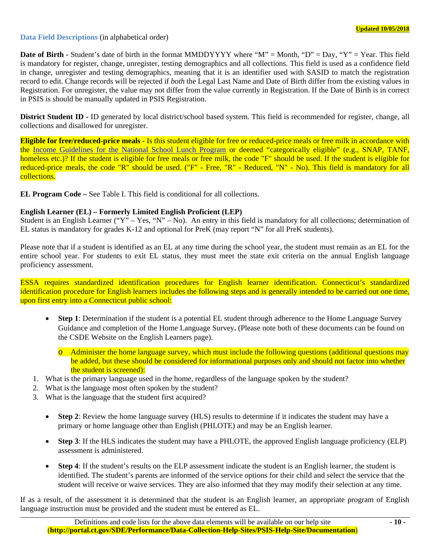#### **Data Field Descriptions** (in alphabetical order)

**Date of Birth -** Student's date of birth in the format MMDDYYYY where "M" = Month, "D" = Day, "Y" = Year. This field is mandatory for register, change, unregister, testing demographics and all collections. This field is used as a confidence field in change, unregister and testing demographics, meaning that it is an identifier used with SASID to match the registration record to edit. Change records will be rejected if *both* the Legal Last Name and Date of Birth differ from the existing values in Registration. For unregister, the value may not differ from the value currently in Registration. If the Date of Birth is in correct in PSIS is should be manually updated in PSIS Registration.

**District Student ID -** ID generated by local district/school based system. This field is recommended for register, change, all collections and disallowed for unregister.

**Eligible for free/reduced-price meals** - Is this student eligible for free or reduced-price meals or free milk in accordance with the Income Guidelines for the National School Lunch Program or deemed "categorically eligible" (e.g., SNAP, TANF, homeless etc.)? If the student is eligible for free meals or free milk, the code "F" should be used. If the student is eligible for reduced-price meals, the code "R" should be used. ("F" - Free, "R" - Reduced, "N" - No). This field is mandatory for all collections.

**EL Program Code –** See Table I. This field is conditional for all collections.

## **English Learner (EL) – Formerly Limited English Proficient (LEP)**

Student is an English Learner ("Y" – Yes, "N" – No). An entry in this field is mandatory for all collections; determination of EL status is mandatory for grades K-12 and optional for PreK (may report "N" for all PreK students).

Please note that if a student is identified as an EL at any time during the school year, the student must remain as an EL for the entire school year. For students to exit EL status, they must meet the state exit criteria on the annual English language proficiency assessment.

ESSA requires standardized identification procedures for English learner identification. Connecticut's standardized identification procedure for English learners includes the following steps and is generally intended to be carried out one time, upon first entry into a Connecticut public school:

 **Step 1**: Determination if the student is a potential EL student through adherence to the Home Language Survey Guidance and completion of the Home Language Survey**.** (Please note both of these documents can be found on the CSDE Website on the English Learners page).

o Administer the home language survey, which must include the following questions (additional questions may be added, but these should be considered for informational purposes only and should not factor into whether the student is screened):

- 1. What is the primary language used in the home, regardless of the language spoken by the student?
- 2. What is the language most often spoken by the student?
- 3. What is the language that the student first acquired?
	- **Step 2**: Review the home language survey (HLS) results to determine if it indicates the student may have a primary or home language other than English (PHLOTE) and may be an English learner.
	- **Step 3**: If the HLS indicates the student may have a PHLOTE, the approved English language proficiency (ELP) assessment is administered.
	- **Step 4**: If the student's results on the ELP assessment indicate the student is an English learner, the student is identified. The student's parents are informed of the service options for their child and select the service that the student will receive or waive services. They are also informed that they may modify their selection at any time.

If as a result, of the assessment it is determined that the student is an English learner, an appropriate program of English language instruction must be provided and the student must be entered as EL.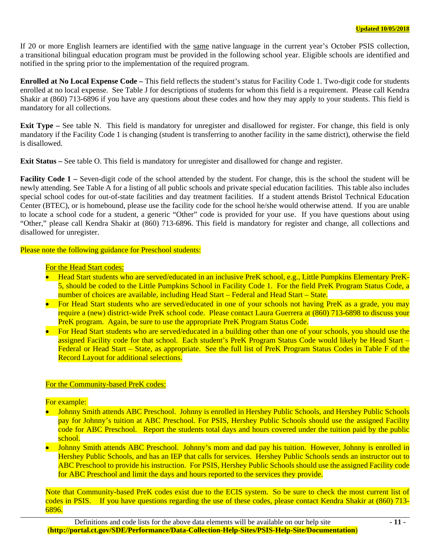If 20 or more English learners are identified with the same native language in the current year's October PSIS collection, a transitional bilingual education program must be provided in the following school year. Eligible schools are identified and notified in the spring prior to the implementation of the required program.

**Enrolled at No Local Expense Code –** This field reflects the student's status for Facility Code 1. Two-digit code for students enrolled at no local expense. See Table J for descriptions of students for whom this field is a requirement. Please call Kendra Shakir at (860) 713-6896 if you have any questions about these codes and how they may apply to your students. This field is mandatory for all collections.

**Exit Type –** See table N. This field is mandatory for unregister and disallowed for register. For change, this field is only mandatory if the Facility Code 1 is changing (student is transferring to another facility in the same district), otherwise the field is disallowed.

**Exit Status –** See table O. This field is mandatory for unregister and disallowed for change and register.

**Facility Code 1 –** Seven-digit code of the school attended by the student. For change, this is the school the student will be newly attending. See Table A for a listing of all public schools and private special education facilities. This table also includes special school codes for out-of-state facilities and day treatment facilities. If a student attends Bristol Technical Education Center (BTEC), or is homebound, please use the facility code for the school he/she would otherwise attend. If you are unable to locate a school code for a student, a generic "Other" code is provided for your use. If you have questions about using "Other," please call Kendra Shakir at (860) 713-6896. This field is mandatory for register and change, all collections and disallowed for unregister.

Please note the following guidance for Preschool students:

#### For the Head Start codes:

- Head Start students who are served/educated in an inclusive PreK school, e.g., Little Pumpkins Elementary PreK-5, should be coded to the Little Pumpkins School in Facility Code 1. For the field PreK Program Status Code, a number of choices are available, including Head Start – Federal and Head Start – State.
- For Head Start students who are served/educated in one of your schools not having PreK as a grade, you may require a (new) district-wide PreK school code. Please contact Laura Guerrera at (860) 713-6898 to discuss your PreK program. Again, be sure to use the appropriate PreK Program Status Code.
- For Head Start students who are served/educated in a building other than one of your schools, you should use the assigned Facility code for that school. Each student's PreK Program Status Code would likely be Head Start – Federal or Head Start – State, as appropriate. See the full list of PreK Program Status Codes in Table F of the Record Layout for additional selections.

#### For the Community-based PreK codes:

For example:

- Johnny Smith attends ABC Preschool. Johnny is enrolled in Hershey Public Schools, and Hershey Public Schools pay for Johnny's tuition at ABC Preschool. For PSIS, Hershey Public Schools should use the assigned Facility code for ABC Preschool. Report the students total days and hours covered under the tuition paid by the public school.
- Johnny Smith attends ABC Preschool. Johnny's mom and dad pay his tuition. However, Johnny is enrolled in Hershey Public Schools, and has an IEP that calls for services. Hershey Public Schools sends an instructor out to ABC Preschool to provide his instruction. For PSIS, Hershey Public Schools should use the assigned Facility code for ABC Preschool and limit the days and hours reported to the services they provide.

Note that Community-based PreK codes exist due to the ECIS system. So be sure to check the most current list of codes in PSIS. If you have questions regarding the use of these codes, please contact Kendra Shakir at (860) 713- 6896.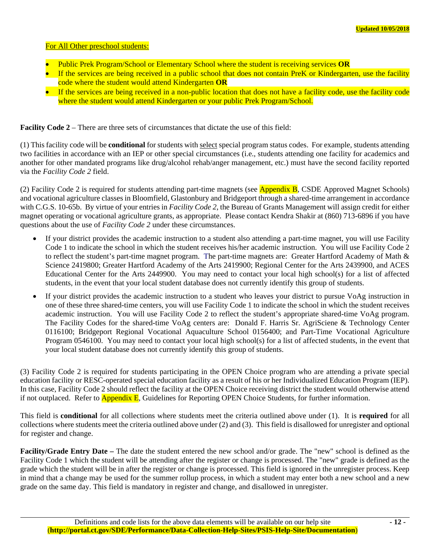#### For All Other preschool students:

- Public Prek Program/School or Elementary School where the student is receiving services **OR**
- If the services are being received in a public school that does not contain PreK or Kindergarten, use the facility code where the student would attend Kindergarten **OR**
- If the services are being received in a non-public location that does not have a facility code, use the facility code where the student would attend Kindergarten or your public Prek Program/School.

**Facility Code 2** – There are three sets of circumstances that dictate the use of this field:

(1) This facility code will be **conditional** for students with select special program status codes. For example, students attending two facilities in accordance with an IEP or other special circumstances (i.e., students attending one facility for academics and another for other mandated programs like drug/alcohol rehab/anger management, etc.) must have the second facility reported via the *Facility Code 2* field.

(2) Facility Code 2 is required for students attending part-time magnets (see **Appendix B**, CSDE Approved Magnet Schools) and vocational agriculture classes in Bloomfield, Glastonbury and Bridgeport through a shared-time arrangement in accordance with C.G.S. 10-65b. By virtue of your entries in *Facility Code 2*, the Bureau of Grants Management will assign credit for either magnet operating or vocational agriculture grants, as appropriate. Please contact Kendra Shakir at (860) 713-6896 if you have questions about the use of *Facility Code 2* under these circumstances.

- If your district provides the academic instruction to a student also attending a part-time magnet, you will use Facility Code 1 to indicate the school in which the student receives his/her academic instruction. You will use Facility Code 2 to reflect the student's part-time magnet program. The part-time magnets are: Greater Hartford Academy of Math & Science 2419800; Greater Hartford Academy of the Arts 2419900; Regional Center for the Arts 2439900, and ACES Educational Center for the Arts 2449900. You may need to contact your local high school(s) for a list of affected students, in the event that your local student database does not currently identify this group of students.
- If your district provides the academic instruction to a student who leaves your district to pursue VoAg instruction in one of these three shared-time centers, you will use Facility Code 1 to indicate the school in which the student receives academic instruction. You will use Facility Code 2 to reflect the student's appropriate shared-time VoAg program. The Facility Codes for the shared-time VoAg centers are: Donald F. Harris Sr. AgriSciene & Technology Center 0116100; Bridgeport Regional Vocational Aquaculture School 0156400; and Part-Time Vocational Agriculture Program 0546100. You may need to contact your local high school(s) for a list of affected students, in the event that your local student database does not currently identify this group of students.

(3) Facility Code 2 is required for students participating in the OPEN Choice program who are attending a private special education facility or RESC-operated special education facility as a result of his or her Individualized Education Program (IEP). In this case, Facility Code 2 should reflect the facility at the OPEN Choice receiving district the student would otherwise attend if not outplaced. Refer to **Appendix E**, Guidelines for Reporting OPEN Choice Students, for further information.

This field is **conditional** for all collections where students meet the criteria outlined above under (1). It is **required** for all collections where students meet the criteria outlined above under (2) and (3). This field is disallowed for unregister and optional for register and change.

**Facility/Grade Entry Date –** The date the student entered the new school and/or grade. The "new" school is defined as the Facility Code 1 which the student will be attending after the register or change is processed. The "new" grade is defined as the grade which the student will be in after the register or change is processed. This field is ignored in the unregister process. Keep in mind that a change may be used for the summer rollup process, in which a student may enter both a new school and a new grade on the same day. This field is mandatory in register and change, and disallowed in unregister.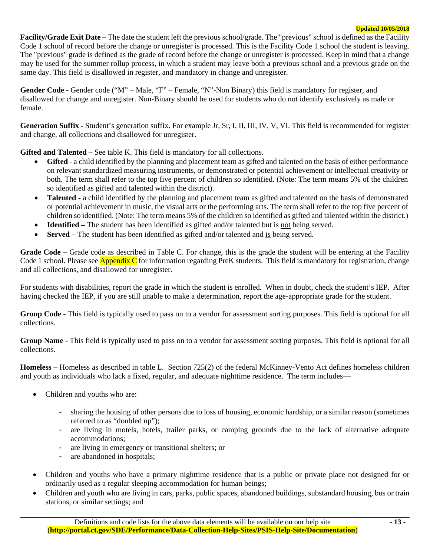**Facility/Grade Exit Date –** The date the student left the previous school/grade. The "previous" school is defined as the Facility Code 1 school of record before the change or unregister is processed. This is the Facility Code 1 school the student is leaving. The "previous" grade is defined as the grade of record before the change or unregister is processed. Keep in mind that a change may be used for the summer rollup process, in which a student may leave both a previous school and a previous grade on the same day. This field is disallowed in register, and mandatory in change and unregister.

Gender Code - Gender code ("M" – Male, "F" – Female, "N"-Non Binary) this field is mandatory for register, and disallowed for change and unregister. Non-Binary should be used for students who do not identify exclusively as male or female.

**Generation Suffix -** Student's generation suffix. For example Jr, Sr, I, II, III, IV, V, VI. This field is recommended for register and change, all collections and disallowed for unregister.

**Gifted and Talented –** See table K. This field is mandatory for all collections.

- Gifted a child identified by the planning and placement team as gifted and talented on the basis of either performance on relevant standardized measuring instruments, or demonstrated or potential achievement or intellectual creativity or both. The term shall refer to the top five percent of children so identified. (Note: The term means 5% of the children so identified as gifted and talented within the district).
- **Talented** a child identified by the planning and placement team as gifted and talented on the basis of demonstrated or potential achievement in music, the visual arts or the performing arts. The term shall refer to the top five percent of children so identified. (Note: The term means 5% of the children so identified as gifted and talented within the district.)
- **Identified** The student has been identified as gifted and/or talented but is not being served.
- **Served** The student has been identified as gifted and/or talented and is being served.

**Grade Code –** Grade code as described in Table C. For change, this is the grade the student will be entering at the Facility Code 1 school. Please see **Appendix C** for information regarding PreK students. This field is mandatory for registration, change and all collections, and disallowed for unregister.

For students with disabilities, report the grade in which the student is enrolled. When in doubt, check the student's IEP. After having checked the IEP, if you are still unable to make a determination, report the age-appropriate grade for the student.

**Group Code -** This field is typically used to pass on to a vendor for assessment sorting purposes. This field is optional for all collections.

**Group Name -** This field is typically used to pass on to a vendor for assessment sorting purposes. This field is optional for all collections.

**Homeless –** Homeless as described in table L. Section 725(2) of the federal McKinney-Vento Act defines homeless children and youth as individuals who lack a fixed, regular, and adequate nighttime residence. The term includes—

- Children and youths who are:
	- sharing the housing of other persons due to loss of housing, economic hardship, or a similar reason (sometimes referred to as "doubled up");
	- are living in motels, hotels, trailer parks, or camping grounds due to the lack of alternative adequate accommodations;
	- are living in emergency or transitional shelters; or
	- are abandoned in hospitals;
- Children and youths who have a primary nighttime residence that is a public or private place not designed for or ordinarily used as a regular sleeping accommodation for human beings;
- Children and youth who are living in cars, parks, public spaces, abandoned buildings, substandard housing, bus or train stations, or similar settings; and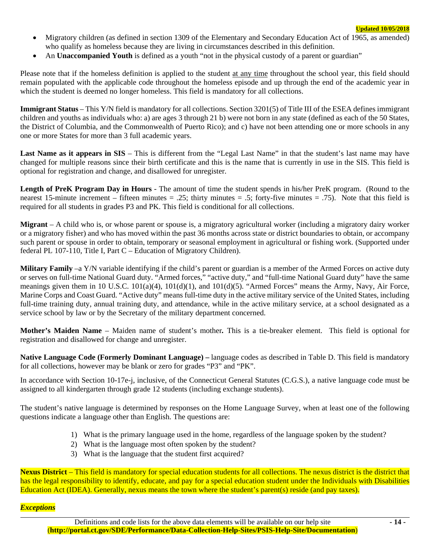- Migratory children (as defined in section 1309 of the Elementary and Secondary Education Act of 1965, as amended) who qualify as homeless because they are living in circumstances described in this definition.
- An **Unaccompanied Youth** is defined as a youth "not in the physical custody of a parent or guardian"

Please note that if the homeless definition is applied to the student at any time throughout the school year, this field should remain populated with the applicable code throughout the homeless episode and up through the end of the academic year in which the student is deemed no longer homeless. This field is mandatory for all collections.

**Immigrant Status** – This Y/N field is mandatory for all collections. Section 3201(5) of Title III of the ESEA defines immigrant children and youths as individuals who: a) are ages 3 through 21 b) were not born in any state (defined as each of the 50 States, the District of Columbia, and the Commonwealth of Puerto Rico); and c) have not been attending one or more schools in any one or more States for more than 3 full academic years.

**Last Name as it appears in SIS** – This is different from the "Legal Last Name" in that the student's last name may have changed for multiple reasons since their birth certificate and this is the name that is currently in use in the SIS. This field is optional for registration and change, and disallowed for unregister.

**Length of PreK Program Day in Hours** - The amount of time the student spends in his/her PreK program. (Round to the nearest 15-minute increment – fifteen minutes = .25; thirty minutes = .5; forty-five minutes = .75). Note that this field is required for all students in grades P3 and PK. This field is conditional for all collections.

**Migrant** – A child who is, or whose parent or spouse is, a migratory agricultural worker (including a migratory dairy worker or a migratory fisher) and who has moved within the past 36 months across state or district boundaries to obtain, or accompany such parent or spouse in order to obtain, temporary or seasonal employment in agricultural or fishing work. (Supported under federal PL 107-110, Title I, Part C – Education of Migratory Children).

**Military Family** –a Y/N variable identifying if the child's parent or guardian is a member of the Armed Forces on active duty or serves on full-time National Guard duty. "Armed forces," "active duty," and "full-time National Guard duty" have the same meanings given them in 10 U.S.C. 101(a)(4), 101(d)(1), and 101(d)(5). "Armed Forces" means the Army, Navy, Air Force, Marine Corps and Coast Guard. "Active duty" means full-time duty in the active military service of the United States, including full-time training duty, annual training duty, and attendance, while in the active military service, at a school designated as a service school by law or by the Secretary of the military department concerned.

**Mother's Maiden Name** *–* Maiden name of student's mother*.* This is a tie-breaker element. This field is optional for registration and disallowed for change and unregister.

**Native Language Code (Formerly Dominant Language) –** language codes as described in Table D. This field is mandatory for all collections, however may be blank or zero for grades "P3" and "PK".

In accordance with Section 10-17e-j, inclusive, of the Connecticut General Statutes (C.G.S.), a native language code must be assigned to all kindergarten through grade 12 students (including exchange students).

The student's native language is determined by responses on the Home Language Survey, when at least one of the following questions indicate a language other than English. The questions are:

- 1) What is the primary language used in the home, regardless of the language spoken by the student?
- 2) What is the language most often spoken by the student?
- 3) What is the language that the student first acquired?

**Nexus District** – This field is mandatory for special education students for all collections. The nexus district is the district that has the legal responsibility to identify, educate, and pay for a special education student under the Individuals with Disabilities Education Act (IDEA). Generally, nexus means the town where the student's parent(s) reside (and pay taxes).

#### *Exceptions*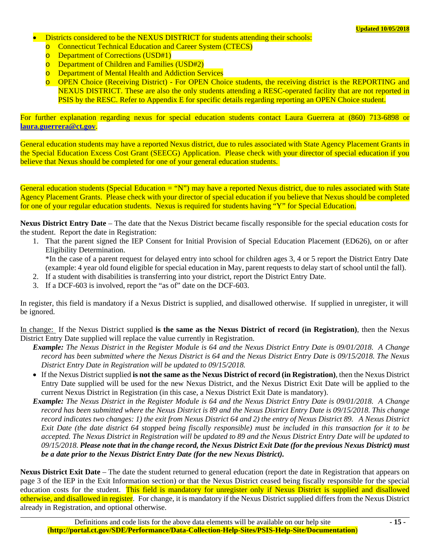- Districts considered to be the NEXUS DISTRICT for students attending their schools:
	- **Connecticut Technical Education and Career System (CTECS)**
	- Department of Corrections (USD#1)
	- Department of Children and Families (USD#2)
	- o Department of Mental Health and Addiction Services
	- o OPEN Choice (Receiving District) For OPEN Choice students, the receiving district is the REPORTING and NEXUS DISTRICT. These are also the only students attending a RESC-operated facility that are not reported in PSIS by the RESC. Refer to Appendix E for specific details regarding reporting an OPEN Choice student.

For further explanation regarding nexus for special education students contact Laura Guerrera at (860) 713-6898 or **laura.guerrera@ct.gov**.

General education students may have a reported Nexus district, due to rules associated with State Agency Placement Grants in the Special Education Excess Cost Grant (SEECG) Application. Please check with your director of special education if you believe that Nexus should be completed for one of your general education students.

General education students (Special Education  $=$  "N") may have a reported Nexus district, due to rules associated with State Agency Placement Grants. Please check with your director of special education if you believe that Nexus should be completed for one of your regular education students. Nexus is required for students having "Y" for Special Education.

**Nexus District Entry Date** – The date that the Nexus District became fiscally responsible for the special education costs for the student. Report the date in Registration:

1. That the parent signed the IEP Consent for Initial Provision of Special Education Placement (ED626), on or after Eligibility Determination.

\*In the case of a parent request for delayed entry into school for children ages 3, 4 or 5 report the District Entry Date (example: 4 year old found eligible for special education in May, parent requests to delay start of school until the fall).

- 2. If a student with disabilities is transferring into your district, report the District Entry Date.
- 3. If a DCF-603 is involved, report the "as of" date on the DCF-603.

In register, this field is mandatory if a Nexus District is supplied, and disallowed otherwise. If supplied in unregister, it will be ignored.

In change: If the Nexus District supplied **is the same as the Nexus District of record (in Registration)**, then the Nexus District Entry Date supplied will replace the value currently in Registration.

- *Example: The Nexus District in the Register Module is 64 and the Nexus District Entry Date is 09/01/2018. A Change record has been submitted where the Nexus District is 64 and the Nexus District Entry Date is 09/15/2018. The Nexus District Entry Date in Registration will be updated to 09/15/2018.*
- If the Nexus District supplied **is not the same as the Nexus District of record (in Registration)**, then the Nexus District Entry Date supplied will be used for the new Nexus District, and the Nexus District Exit Date will be applied to the current Nexus District in Registration (in this case, a Nexus District Exit Date is mandatory).
- *Example: The Nexus District in the Register Module is 64 and the Nexus District Entry Date is 09/01/2018. A Change record has been submitted where the Nexus District is 89 and the Nexus District Entry Date is 09/15/2018. This change record indicates two changes: 1) the exit from Nexus District 64 and 2) the entry of Nexus District 89. A Nexus District Exit Date (the date district 64 stopped being fiscally responsible) must be included in this transaction for it to be accepted. The Nexus District in Registration will be updated to 89 and the Nexus District Entry Date will be updated to 09/15/2018. Please note that in the change record, the Nexus District Exit Date (for the previous Nexus District) must be a date prior to the Nexus District Entry Date (for the new Nexus District).*

**Nexus District Exit Date** – The date the student returned to general education (report the date in Registration that appears on page 3 of the IEP in the Exit Information section) or that the Nexus District ceased being fiscally responsible for the special education costs for the student. This field is mandatory for unregister only if Nexus District is supplied and disallowed otherwise, and disallowed in register. For change, it is mandatory if the Nexus District supplied differs from the Nexus District already in Registration, and optional otherwise.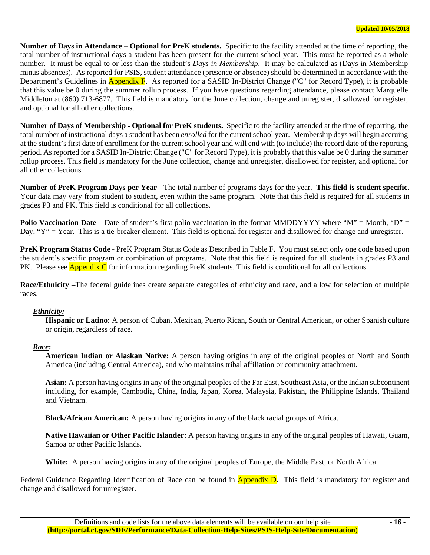**Number of Days in Attendance – Optional for PreK students.** Specific to the facility attended at the time of reporting, the total number of instructional days a student has been present for the current school year. This must be reported as a whole number. It must be equal to or less than the student's *Days in Membership*. It may be calculated as (Days in Membership minus absences). As reported for PSIS, student attendance (presence or absence) should be determined in accordance with the Department's Guidelines in **Appendix F**. As reported for a SASID In-District Change ("C" for Record Type), it is probable that this value be 0 during the summer rollup process. If you have questions regarding attendance, please contact Marquelle Middleton at (860) 713-6877. This field is mandatory for the June collection, change and unregister, disallowed for register, and optional for all other collections.

**Number of Days of Membership - Optional for PreK students.** Specific to the facility attended at the time of reporting, the total number of instructional days a student has been *enrolled* for the current school year. Membership days will begin accruing at the student's first date of enrollment for the current school year and will end with (to include) the record date of the reporting period. As reported for a SASID In-District Change ("C" for Record Type), it is probably that this value be 0 during the summer rollup process. This field is mandatory for the June collection, change and unregister, disallowed for register, and optional for all other collections.

**Number of PreK Program Days per Year -** The total number of programs days for the year. **This field is student specific**. Your data may vary from student to student, even within the same program. Note that this field is required for all students in grades P3 and PK. This field is conditional for all collections.

**Polio Vaccination Date** – Date of student's first polio vaccination in the format MMDDYYYY where "M" = Month, "D" = Day, "Y" = Year. This is a tie-breaker element. This field is optional for register and disallowed for change and unregister.

**PreK Program Status Code -** PreK Program Status Code as Described in Table F. You must select only one code based upon the student's specific program or combination of programs. Note that this field is required for all students in grades P3 and PK. Please see **Appendix C** for information regarding PreK students. This field is conditional for all collections.

**Race/Ethnicity –**The federal guidelines create separate categories of ethnicity and race, and allow for selection of multiple races.

#### *Ethnicity:*

**Hispanic or Latino:** A person of Cuban, Mexican, Puerto Rican, South or Central American, or other Spanish culture or origin, regardless of race.

# *Race***:**

**American Indian or Alaskan Native:** A person having origins in any of the original peoples of North and South America (including Central America), and who maintains tribal affiliation or community attachment.

**Asian:** A person having origins in any of the original peoples of the Far East, Southeast Asia, or the Indian subcontinent including, for example, Cambodia, China, India, Japan, Korea, Malaysia, Pakistan, the Philippine Islands, Thailand and Vietnam.

**Black/African American:** A person having origins in any of the black racial groups of Africa.

**Native Hawaiian or Other Pacific Islander:** A person having origins in any of the original peoples of Hawaii, Guam, Samoa or other Pacific Islands.

**White:** A person having origins in any of the original peoples of Europe, the Middle East, or North Africa.

Federal Guidance Regarding Identification of Race can be found in **Appendix D**. This field is mandatory for register and change and disallowed for unregister.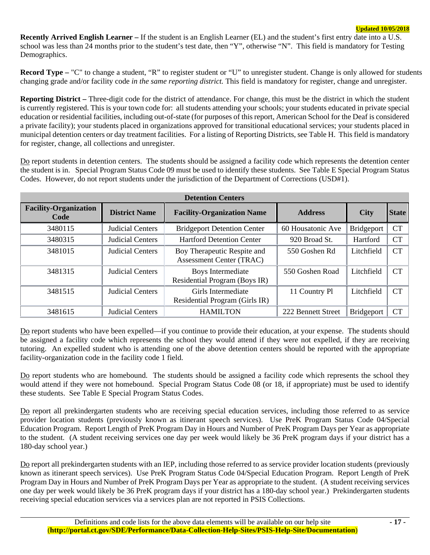**Recently Arrived English Learner –** If the student is an English Learner (EL) and the student's first entry date into a U.S. school was less than 24 months prior to the student's test date, then "Y", otherwise "N". This field is mandatory for Testing Demographics.

**Record Type – "C"** to change a student, "R" to register student or "U" to unregister student. Change is only allowed for students changing grade and/or facility code *in the same reporting district.* This field is mandatory for register, change and unregister.

**Reporting District –** Three-digit code for the district of attendance. For change, this must be the district in which the student is currently registered. This is your town code for: all students attending your schools; your students educated in private special education or residential facilities, including out-of-state (for purposes of this report, American School for the Deaf is considered a private facility); your students placed in organizations approved for transitional educational services; your students placed in municipal detention centers or day treatment facilities. For a listing of Reporting Districts, see Table H. This field is mandatory for register, change, all collections and unregister.

Do report students in detention centers. The students should be assigned a facility code which represents the detention center the student is in. Special Program Status Code 09 must be used to identify these students. See Table E Special Program Status Codes. However, do not report students under the jurisdiction of the Department of Corrections (USD#1).

| <b>Detention Centers</b>             |                         |                                                                |                    |                   |              |  |  |  |  |
|--------------------------------------|-------------------------|----------------------------------------------------------------|--------------------|-------------------|--------------|--|--|--|--|
| <b>Facility-Organization</b><br>Code | <b>District Name</b>    | <b>Facility-Organization Name</b>                              | <b>Address</b>     | <b>City</b>       | <b>State</b> |  |  |  |  |
| 3480115                              | <b>Judicial Centers</b> | <b>Bridgeport Detention Center</b>                             | 60 Housatonic Ave  | <b>Bridgeport</b> | <b>CT</b>    |  |  |  |  |
| 3480315                              | <b>Judicial Centers</b> | <b>Hartford Detention Center</b>                               | 920 Broad St.      | Hartford          | <b>CT</b>    |  |  |  |  |
| 3481015                              | <b>Judicial Centers</b> | Boy Therapeutic Respite and<br><b>Assessment Center (TRAC)</b> | 550 Goshen Rd      | Litchfield        | <b>CT</b>    |  |  |  |  |
| 3481315                              | <b>Judicial Centers</b> | Boys Intermediate<br>Residential Program (Boys IR)             | 550 Goshen Road    | Litchfield        | <b>CT</b>    |  |  |  |  |
| 3481515                              | Judicial Centers        | Girls Intermediate<br>Residential Program (Girls IR)           | 11 Country Pl      | Litchfield        | <b>CT</b>    |  |  |  |  |
| 3481615                              | <b>Judicial Centers</b> | <b>HAMILTON</b>                                                | 222 Bennett Street | <b>Bridgeport</b> | <b>CT</b>    |  |  |  |  |

Do report students who have been expelled—if you continue to provide their education, at your expense. The students should be assigned a facility code which represents the school they would attend if they were not expelled, if they are receiving tutoring. An expelled student who is attending one of the above detention centers should be reported with the appropriate facility-organization code in the facility code 1 field.

Do report students who are homebound. The students should be assigned a facility code which represents the school they would attend if they were not homebound. Special Program Status Code 08 (or 18, if appropriate) must be used to identify these students. See Table E Special Program Status Codes.

Do report all prekindergarten students who are receiving special education services, including those referred to as service provider location students (previously known as itinerant speech services). Use PreK Program Status Code 04/Special Education Program. Report Length of PreK Program Day in Hours and Number of PreK Program Days per Year as appropriate to the student. (A student receiving services one day per week would likely be 36 PreK program days if your district has a 180-day school year.)

Do report all prekindergarten students with an IEP, including those referred to as service provider location students (previously known as itinerant speech services). Use PreK Program Status Code 04/Special Education Program. Report Length of PreK Program Day in Hours and Number of PreK Program Days per Year as appropriate to the student. (A student receiving services one day per week would likely be 36 PreK program days if your district has a 180-day school year.) Prekindergarten students receiving special education services via a services plan are not reported in PSIS Collections.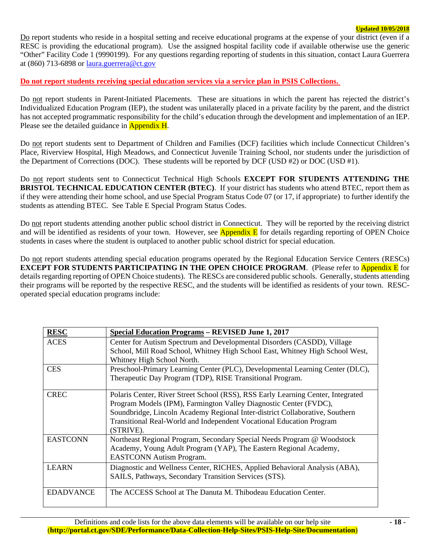Do report students who reside in a hospital setting and receive educational programs at the expense of your district (even if a RESC is providing the educational program). Use the assigned hospital facility code if available otherwise use the generic "Other" Facility Code 1 (9990199). For any questions regarding reporting of students in this situation, contact Laura Guerrera at (860) 713-6898 or laura.guerrera@ct.gov

## **Do not report students receiving special education services via a service plan in PSIS Collections.**

Do not report students in Parent-Initiated Placements. These are situations in which the parent has rejected the district's Individualized Education Program (IEP), the student was unilaterally placed in a private facility by the parent, and the district has not accepted programmatic responsibility for the child's education through the development and implementation of an IEP. Please see the detailed guidance in **Appendix H**.

Do not report students sent to Department of Children and Families (DCF) facilities which include Connecticut Children's Place, Riverview Hospital, High Meadows, and Connecticut Juvenile Training School, nor students under the jurisdiction of the Department of Corrections (DOC). These students will be reported by DCF (USD #2) or DOC (USD #1).

Do not report students sent to Connecticut Technical High Schools **EXCEPT FOR STUDENTS ATTENDING THE BRISTOL TECHNICAL EDUCATION CENTER (BTEC)**. If your district has students who attend BTEC, report them as if they were attending their home school, and use Special Program Status Code 07 (or 17, if appropriate) to further identify the students as attending BTEC. See Table E Special Program Status Codes.

Do not report students attending another public school district in Connecticut. They will be reported by the receiving district and will be identified as residents of your town. However, see **Appendix E** for details regarding reporting of OPEN Choice students in cases where the student is outplaced to another public school district for special education.

Do not report students attending special education programs operated by the Regional Education Service Centers (RESCs) **EXCEPT FOR STUDENTS PARTICIPATING IN THE OPEN CHOICE PROGRAM.** (Please refer to **Appendix E** for details regarding reporting of OPEN Choice students). The RESCs are considered public schools. Generally, students attending their programs will be reported by the respective RESC, and the students will be identified as residents of your town. RESCoperated special education programs include:

| <b>RESC</b>      | <b>Special Education Programs - REVISED June 1, 2017</b>                                                                                                                                                                                                                                                                   |
|------------------|----------------------------------------------------------------------------------------------------------------------------------------------------------------------------------------------------------------------------------------------------------------------------------------------------------------------------|
| <b>ACES</b>      | Center for Autism Spectrum and Developmental Disorders (CASDD), Village                                                                                                                                                                                                                                                    |
|                  | School, Mill Road School, Whitney High School East, Whitney High School West,<br>Whitney High School North.                                                                                                                                                                                                                |
| <b>CES</b>       | Preschool-Primary Learning Center (PLC), Developmental Learning Center (DLC),<br>Therapeutic Day Program (TDP), RISE Transitional Program.                                                                                                                                                                                 |
| <b>CREC</b>      | Polaris Center, River Street School (RSS), RSS Early Learning Center, Integrated<br>Program Models (IPM), Farmington Valley Diagnostic Center (FVDC),<br>Soundbridge, Lincoln Academy Regional Inter-district Collaborative, Southern<br>Transitional Real-World and Independent Vocational Education Program<br>(STRIVE). |
| <b>EASTCONN</b>  | Northeast Regional Program, Secondary Special Needs Program @ Woodstock<br>Academy, Young Adult Program (YAP), The Eastern Regional Academy,<br><b>EASTCONN</b> Autism Program.                                                                                                                                            |
| <b>LEARN</b>     | Diagnostic and Wellness Center, RICHES, Applied Behavioral Analysis (ABA),<br>SAILS, Pathways, Secondary Transition Services (STS).                                                                                                                                                                                        |
| <b>EDADVANCE</b> | The ACCESS School at The Danuta M. Thibodeau Education Center.                                                                                                                                                                                                                                                             |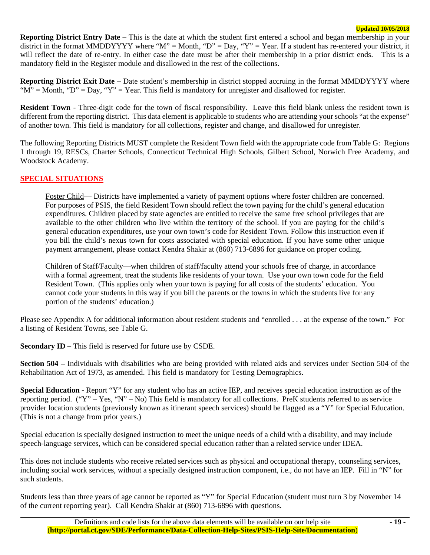**Reporting District Entry Date –** This is the date at which the student first entered a school and began membership in your district in the format MMDDYYYY where "M" = Month, "D" = Day, "Y" = Year. If a student has re-entered your district, it will reflect the date of re-entry. In either case the date must be after their membership in a prior district ends. This is a mandatory field in the Register module and disallowed in the rest of the collections.

**Reporting District Exit Date –** Date student's membership in district stopped accruing in the format MMDDYYYY where " $M$ " = Month, "D" = Day, "Y" = Year. This field is mandatory for unregister and disallowed for register.

**Resident Town** - Three-digit code for the town of fiscal responsibility. Leave this field blank unless the resident town is different from the reporting district. This data element is applicable to students who are attending your schools "at the expense" of another town. This field is mandatory for all collections, register and change, and disallowed for unregister.

The following Reporting Districts MUST complete the Resident Town field with the appropriate code from Table G: Regions 1 through 19, RESCs, Charter Schools, Connecticut Technical High Schools, Gilbert School, Norwich Free Academy, and Woodstock Academy.

# **SPECIAL SITUATIONS**

Foster Child— Districts have implemented a variety of payment options where foster children are concerned. For purposes of PSIS, the field Resident Town should reflect the town paying for the child's general education expenditures. Children placed by state agencies are entitled to receive the same free school privileges that are available to the other children who live within the territory of the school. If you are paying for the child's general education expenditures, use your own town's code for Resident Town. Follow this instruction even if you bill the child's nexus town for costs associated with special education. If you have some other unique payment arrangement, please contact Kendra Shakir at (860) 713-6896 for guidance on proper coding.

Children of Staff/Faculty—when children of staff/faculty attend your schools free of charge, in accordance with a formal agreement, treat the students like residents of your town. Use your own town code for the field Resident Town. (This applies only when your town is paying for all costs of the students' education. You cannot code your students in this way if you bill the parents or the towns in which the students live for any portion of the students' education.)

Please see Appendix A for additional information about resident students and "enrolled . . . at the expense of the town." For a listing of Resident Towns, see Table G.

**Secondary ID** – This field is reserved for future use by CSDE.

**Section 504 –** Individuals with disabilities who are being provided with related aids and services under Section 504 of the Rehabilitation Act of 1973, as amended. This field is mandatory for Testing Demographics.

**Special Education -** Report "Y" for any student who has an active IEP, and receives special education instruction as of the reporting period. ("Y" – Yes, "N" – No) This field is mandatory for all collections. PreK students referred to as service provider location students (previously known as itinerant speech services) should be flagged as a "Y" for Special Education. (This is not a change from prior years.)

Special education is specially designed instruction to meet the unique needs of a child with a disability, and may include speech-language services, which can be considered special education rather than a related service under IDEA.

This does not include students who receive related services such as physical and occupational therapy, counseling services, including social work services, without a specially designed instruction component, i.e., do not have an IEP. Fill in "N" for such students.

Students less than three years of age cannot be reported as "Y" for Special Education (student must turn 3 by November 14 of the current reporting year). Call Kendra Shakir at (860) 713-6896 with questions.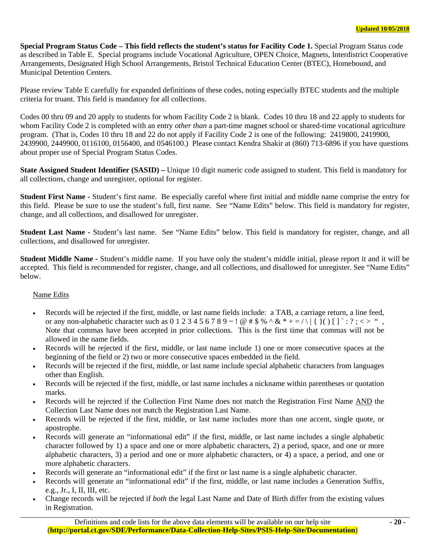**Special Program Status Code – This field reflects the student's status for Facility Code 1.** Special Program Status code as described in Table E. Special programs include Vocational Agriculture, OPEN Choice, Magnets, Interdistrict Cooperative Arrangements, Designated High School Arrangements, Bristol Technical Education Center (BTEC), Homebound, and Municipal Detention Centers.

Please review Table E carefully for expanded definitions of these codes, noting especially BTEC students and the multiple criteria for truant. This field is mandatory for all collections.

Codes 00 thru 09 and 20 apply to students for whom Facility Code 2 is blank. Codes 10 thru 18 and 22 apply to students for whom Facility Code 2 is completed with an entry *other than* a part-time magnet school or shared-time vocational agriculture program. (That is, Codes 10 thru 18 and 22 do not apply if Facility Code 2 is one of the following: 2419800, 2419900, 2439900, 2449900, 0116100, 0156400, and 0546100.) Please contact Kendra Shakir at (860) 713-6896 if you have questions about proper use of Special Program Status Codes.

**State Assigned Student Identifier (SASID) –** Unique 10 digit numeric code assigned to student. This field is mandatory for all collections, change and unregister, optional for register.

**Student First Name -** Student's first name. Be especially careful where first initial and middle name comprise the entry for this field. Please be sure to use the student's full, first name. See "Name Edits" below. This field is mandatory for register, change, and all collections, and disallowed for unregister.

**Student Last Name -** Student's last name. See "Name Edits" below. This field is mandatory for register, change, and all collections, and disallowed for unregister.

**Student Middle Name -** Student's middle name. If you have only the student's middle initial, please report it and it will be accepted. This field is recommended for register, change, and all collections, and disallowed for unregister. See "Name Edits" below.

#### Name Edits

- Records will be rejected if the first, middle, or last name fields include: a TAB, a carriage return, a line feed, or any non-alphabetic character such as  $0 \ 1 \ 2 \ 3 \ 4 \ 5 \ 6 \ 7 \ 8 \ 9 \sim ! \ @ \# \$\% \ ^\wedge \& \ ^* + = / \ \ | \ \ {\} \ ( \ ) \ [ \ ] \ : ? \ ; \ \lt\gt\$  ", Note that commas have been accepted in prior collections. This is the first time that commas will not be allowed in the name fields.
- Records will be rejected if the first, middle, or last name include 1) one or more consecutive spaces at the beginning of the field or 2) two or more consecutive spaces embedded in the field.
- Records will be rejected if the first, middle, or last name include special alphabetic characters from languages other than English.
- Records will be rejected if the first, middle, or last name includes a nickname within parentheses or quotation marks.
- Records will be rejected if the Collection First Name does not match the Registration First Name AND the Collection Last Name does not match the Registration Last Name.
- Records will be rejected if the first, middle, or last name includes more than one accent, single quote, or apostrophe.
- Records will generate an "informational edit" if the first, middle, or last name includes a single alphabetic character followed by 1) a space and one or more alphabetic characters, 2) a period, space, and one or more alphabetic characters, 3) a period and one or more alphabetic characters, or 4) a space, a period, and one or more alphabetic characters.
- Records will generate an "informational edit" if the first or last name is a single alphabetic character.
- Records will generate an "informational edit" if the first, middle, or last name includes a Generation Suffix, e.g., Jr., I, II, III, etc.
- Change records will be rejected if *both* the legal Last Name and Date of Birth differ from the existing values in Registration.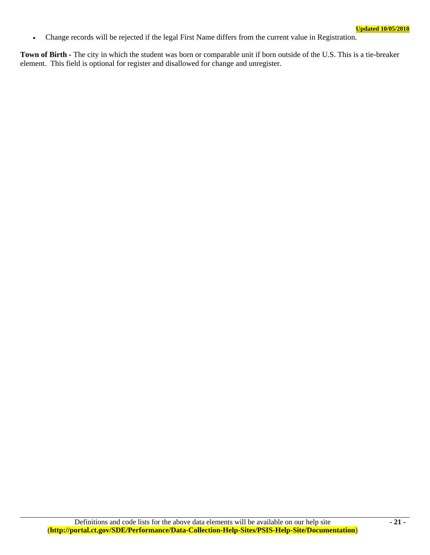• Change records will be rejected if the legal First Name differs from the current value in Registration.

**Town of Birth** *-* The city in which the student was born or comparable unit if born outside of the U.S. This is a tie-breaker element. This field is optional for register and disallowed for change and unregister.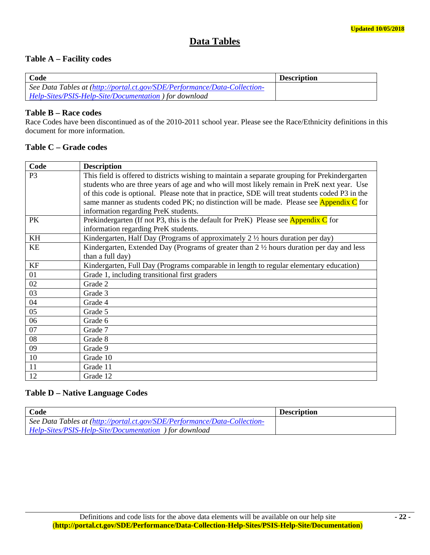# **Data Tables**

# **Table A – Facility codes**

| Code                                                                      | <b>Description</b> |
|---------------------------------------------------------------------------|--------------------|
| See Data Tables at (http://portal.ct.gov/SDE/Performance/Data-Collection- |                    |
| Help-Sites/PSIS-Help-Site/Documentation ) for download                    |                    |

# **Table B – Race codes**

Race Codes have been discontinued as of the 2010-2011 school year. Please see the Race/Ethnicity definitions in this document for more information.

# **Table C – Grade codes**

| Code           | <b>Description</b>                                                                                   |
|----------------|------------------------------------------------------------------------------------------------------|
| P <sub>3</sub> | This field is offered to districts wishing to maintain a separate grouping for Prekindergarten       |
|                | students who are three years of age and who will most likely remain in PreK next year. Use           |
|                | of this code is optional. Please note that in practice, SDE will treat students coded P3 in the      |
|                | same manner as students coded PK; no distinction will be made. Please see Appendix C for             |
|                | information regarding PreK students.                                                                 |
| <b>PK</b>      | Prekindergarten (If not P3, this is the default for PreK) Please see Appendix $C$ for                |
|                | information regarding PreK students.                                                                 |
| KH             | Kindergarten, Half Day (Programs of approximately 2 1/2 hours duration per day)                      |
| KE             | Kindergarten, Extended Day (Programs of greater than $2 \frac{1}{2}$ hours duration per day and less |
|                | than a full day)                                                                                     |
| KF             | Kindergarten, Full Day (Programs comparable in length to regular elementary education)               |
| 01             | Grade 1, including transitional first graders                                                        |
| 02             | Grade 2                                                                                              |
| 03             | Grade 3                                                                                              |
| 04             | Grade 4                                                                                              |
| 05             | Grade 5                                                                                              |
| 06             | Grade 6                                                                                              |
| 07             | Grade 7                                                                                              |
| 08             | Grade 8                                                                                              |
| 09             | Grade 9                                                                                              |
| 10             | Grade 10                                                                                             |
| 11             | Grade 11                                                                                             |
| 12             | Grade 12                                                                                             |

# **Table D – Native Language Codes**

| Code                                                                      | <b>Description</b> |
|---------------------------------------------------------------------------|--------------------|
| See Data Tables at (http://portal.ct.gov/SDE/Performance/Data-Collection- |                    |
| Help-Sites/PSIS-Help-Site/Documentation ) for download                    |                    |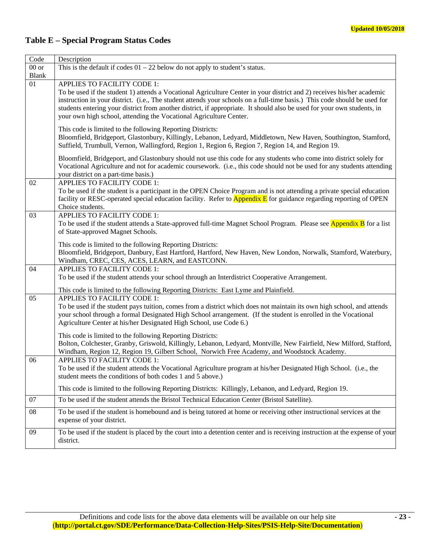# **Table E – Special Program Status Codes**

| Code         | Description                                                                                                                                                                                                                                                                                                                                                                                                                                                                         |
|--------------|-------------------------------------------------------------------------------------------------------------------------------------------------------------------------------------------------------------------------------------------------------------------------------------------------------------------------------------------------------------------------------------------------------------------------------------------------------------------------------------|
| $00$ or      | This is the default if codes $01 - 22$ below do not apply to student's status.                                                                                                                                                                                                                                                                                                                                                                                                      |
| <b>Blank</b> |                                                                                                                                                                                                                                                                                                                                                                                                                                                                                     |
| 01           | APPLIES TO FACILITY CODE 1:<br>To be used if the student 1) attends a Vocational Agriculture Center in your district and 2) receives his/her academic<br>instruction in your district. (i.e., The student attends your schools on a full-time basis.) This code should be used for<br>students entering your district from another district, if appropriate. It should also be used for your own students, in<br>your own high school, attending the Vocational Agriculture Center. |
|              | This code is limited to the following Reporting Districts:<br>Bloomfield, Bridgeport, Glastonbury, Killingly, Lebanon, Ledyard, Middletown, New Haven, Southington, Stamford,<br>Suffield, Trumbull, Vernon, Wallingford, Region 1, Region 6, Region 7, Region 14, and Region 19.                                                                                                                                                                                                   |
|              | Bloomfield, Bridgeport, and Glastonbury should not use this code for any students who come into district solely for<br>Vocational Agriculture and not for academic coursework. (i.e., this code should not be used for any students attending<br>your district on a part-time basis.)                                                                                                                                                                                               |
| 02           | APPLIES TO FACILITY CODE 1:<br>To be used if the student is a participant in the OPEN Choice Program and is not attending a private special education<br>facility or RESC-operated special education facility. Refer to <b>Appendix E</b> for guidance regarding reporting of OPEN<br>Choice students.                                                                                                                                                                              |
| 03           | <b>APPLIES TO FACILITY CODE 1:</b><br>To be used if the student attends a State-approved full-time Magnet School Program. Please see <b>Appendix B</b> for a list<br>of State-approved Magnet Schools.                                                                                                                                                                                                                                                                              |
|              | This code is limited to the following Reporting Districts:<br>Bloomfield, Bridgeport, Danbury, East Hartford, Hartford, New Haven, New London, Norwalk, Stamford, Waterbury,<br>Windham, CREC, CES, ACES, LEARN, and EASTCONN.                                                                                                                                                                                                                                                      |
| 04           | APPLIES TO FACILITY CODE 1:<br>To be used if the student attends your school through an Interdistrict Cooperative Arrangement.                                                                                                                                                                                                                                                                                                                                                      |
|              | This code is limited to the following Reporting Districts: East Lyme and Plainfield.                                                                                                                                                                                                                                                                                                                                                                                                |
| 05           | APPLIES TO FACILITY CODE 1:<br>To be used if the student pays tuition, comes from a district which does not maintain its own high school, and attends<br>your school through a formal Designated High School arrangement. (If the student is enrolled in the Vocational<br>Agriculture Center at his/her Designated High School, use Code 6.)                                                                                                                                       |
|              | This code is limited to the following Reporting Districts:<br>Bolton, Colchester, Granby, Griswold, Killingly, Lebanon, Ledyard, Montville, New Fairfield, New Milford, Stafford,<br>Windham, Region 12, Region 19, Gilbert School, Norwich Free Academy, and Woodstock Academy.                                                                                                                                                                                                    |
| 06           | APPLIES TO FACILITY CODE 1:<br>To be used if the student attends the Vocational Agriculture program at his/her Designated High School. (i.e., the<br>student meets the conditions of both codes 1 and 5 above.)                                                                                                                                                                                                                                                                     |
|              | This code is limited to the following Reporting Districts: Killingly, Lebanon, and Ledyard, Region 19.                                                                                                                                                                                                                                                                                                                                                                              |
| 07           | To be used if the student attends the Bristol Technical Education Center (Bristol Satellite).                                                                                                                                                                                                                                                                                                                                                                                       |
| 08           | To be used if the student is homebound and is being tutored at home or receiving other instructional services at the<br>expense of your district.                                                                                                                                                                                                                                                                                                                                   |
| 09           | To be used if the student is placed by the court into a detention center and is receiving instruction at the expense of your<br>district.                                                                                                                                                                                                                                                                                                                                           |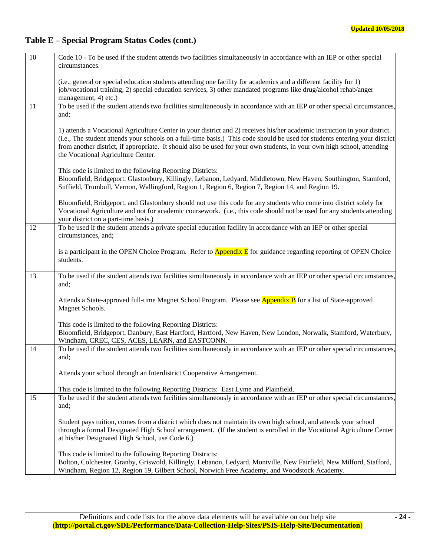# **Table E – Special Program Status Codes (cont.)**

| 10 | Code 10 - To be used if the student attends two facilities simultaneously in accordance with an IEP or other special<br>circumstances.                                                                                                                                                                                                                                                                                     |
|----|----------------------------------------------------------------------------------------------------------------------------------------------------------------------------------------------------------------------------------------------------------------------------------------------------------------------------------------------------------------------------------------------------------------------------|
|    | (i.e., general or special education students attending one facility for academics and a different facility for 1)<br>job/vocational training, 2) special education services, 3) other mandated programs like drug/alcohol rehab/anger<br>management, 4) etc.)                                                                                                                                                              |
| 11 | To be used if the student attends two facilities simultaneously in accordance with an IEP or other special circumstances,<br>and;                                                                                                                                                                                                                                                                                          |
|    | 1) attends a Vocational Agriculture Center in your district and 2) receives his/her academic instruction in your district.<br>(i.e., The student attends your schools on a full-time basis.) This code should be used for students entering your district<br>from another district, if appropriate. It should also be used for your own students, in your own high school, attending<br>the Vocational Agriculture Center. |
|    | This code is limited to the following Reporting Districts:<br>Bloomfield, Bridgeport, Glastonbury, Killingly, Lebanon, Ledyard, Middletown, New Haven, Southington, Stamford,<br>Suffield, Trumbull, Vernon, Wallingford, Region 1, Region 6, Region 7, Region 14, and Region 19.                                                                                                                                          |
|    | Bloomfield, Bridgeport, and Glastonbury should not use this code for any students who come into district solely for<br>Vocational Agriculture and not for academic coursework. (i.e., this code should not be used for any students attending<br>your district on a part-time basis.)                                                                                                                                      |
| 12 | To be used if the student attends a private special education facility in accordance with an IEP or other special<br>circumstances, and;                                                                                                                                                                                                                                                                                   |
|    | is a participant in the OPEN Choice Program. Refer to <b>Appendix E</b> for guidance regarding reporting of OPEN Choice<br>students.                                                                                                                                                                                                                                                                                       |
| 13 | To be used if the student attends two facilities simultaneously in accordance with an IEP or other special circumstances,<br>and;                                                                                                                                                                                                                                                                                          |
|    | Attends a State-approved full-time Magnet School Program. Please see <b>Appendix B</b> for a list of State-approved<br>Magnet Schools.                                                                                                                                                                                                                                                                                     |
|    | This code is limited to the following Reporting Districts:<br>Bloomfield, Bridgeport, Danbury, East Hartford, Hartford, New Haven, New London, Norwalk, Stamford, Waterbury,<br>Windham, CREC, CES, ACES, LEARN, and EASTCONN.                                                                                                                                                                                             |
| 14 | To be used if the student attends two facilities simultaneously in accordance with an IEP or other special circumstances,<br>and;                                                                                                                                                                                                                                                                                          |
|    | Attends your school through an Interdistrict Cooperative Arrangement.                                                                                                                                                                                                                                                                                                                                                      |
| 15 | This code is limited to the following Reporting Districts: East Lyme and Plainfield.<br>To be used if the student attends two facilities simultaneously in accordance with an IEP or other special circumstances,                                                                                                                                                                                                          |
|    | and;                                                                                                                                                                                                                                                                                                                                                                                                                       |
|    | Student pays tuition, comes from a district which does not maintain its own high school, and attends your school<br>through a formal Designated High School arrangement. (If the student is enrolled in the Vocational Agriculture Center<br>at his/her Designated High School, use Code 6.)                                                                                                                               |
|    | This code is limited to the following Reporting Districts:<br>Bolton, Colchester, Granby, Griswold, Killingly, Lebanon, Ledyard, Montville, New Fairfield, New Milford, Stafford,<br>Windham, Region 12, Region 19, Gilbert School, Norwich Free Academy, and Woodstock Academy.                                                                                                                                           |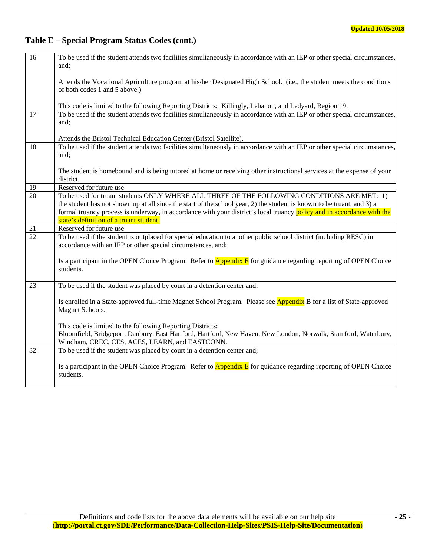# **Table E – Special Program Status Codes (cont.)**

| 16              | To be used if the student attends two facilities simultaneously in accordance with an IEP or other special circumstances,<br>and:                                                 |
|-----------------|-----------------------------------------------------------------------------------------------------------------------------------------------------------------------------------|
|                 |                                                                                                                                                                                   |
|                 | Attends the Vocational Agriculture program at his/her Designated High School. (i.e., the student meets the conditions<br>of both codes 1 and 5 above.)                            |
|                 | This code is limited to the following Reporting Districts: Killingly, Lebanon, and Ledyard, Region 19.                                                                            |
| 17              | To be used if the student attends two facilities simultaneously in accordance with an IEP or other special circumstances,<br>and;                                                 |
|                 | Attends the Bristol Technical Education Center (Bristol Satellite).                                                                                                               |
| 18              | To be used if the student attends two facilities simultaneously in accordance with an IEP or other special circumstances,<br>and;                                                 |
|                 | The student is homebound and is being tutored at home or receiving other instructional services at the expense of your<br>district.                                               |
| 19              | Reserved for future use                                                                                                                                                           |
| $\overline{20}$ | To be used for truant students ONLY WHERE ALL THREE OF THE FOLLOWING CONDITIONS ARE MET: 1)                                                                                       |
|                 | the student has not shown up at all since the start of the school year, 2) the student is known to be truant, and 3) a                                                            |
|                 | formal truancy process is underway, in accordance with your district's local truancy policy and in accordance with the<br>state's definition of a truant student.                 |
| 21              | Reserved for future use                                                                                                                                                           |
| $\overline{22}$ | To be used if the student is outplaced for special education to another public school district (including RESC) in<br>accordance with an IEP or other special circumstances, and; |
|                 | Is a participant in the OPEN Choice Program. Refer to <b>Appendix E</b> for guidance regarding reporting of OPEN Choice<br>students.                                              |
| 23              | To be used if the student was placed by court in a detention center and;                                                                                                          |
|                 | Is enrolled in a State-approved full-time Magnet School Program. Please see Appendix B for a list of State-approved<br>Magnet Schools.                                            |
|                 | This code is limited to the following Reporting Districts:                                                                                                                        |
|                 | Bloomfield, Bridgeport, Danbury, East Hartford, Hartford, New Haven, New London, Norwalk, Stamford, Waterbury,<br>Windham, CREC, CES, ACES, LEARN, and EASTCONN.                  |
| 32              | To be used if the student was placed by court in a detention center and;                                                                                                          |
|                 | Is a participant in the OPEN Choice Program. Refer to <b>Appendix E</b> for guidance regarding reporting of OPEN Choice<br>students.                                              |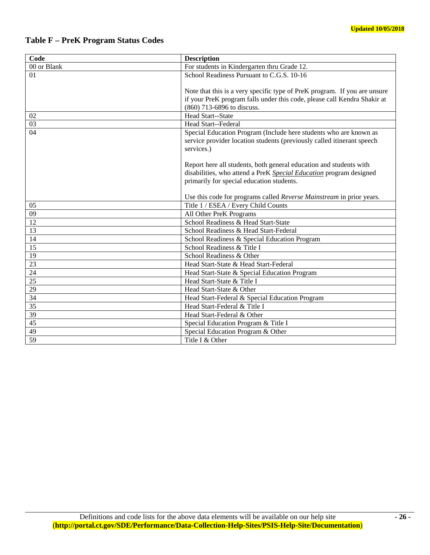# **Table F – PreK Program Status Codes**

| Code            | <b>Description</b>                                                                                              |
|-----------------|-----------------------------------------------------------------------------------------------------------------|
| 00 or Blank     | For students in Kindergarten thru Grade 12.                                                                     |
| 01              | School Readiness Pursuant to C.G.S. 10-16                                                                       |
|                 |                                                                                                                 |
|                 | Note that this is a very specific type of PreK program. If you are unsure                                       |
|                 | if your PreK program falls under this code, please call Kendra Shakir at                                        |
|                 | (860) 713-6896 to discuss.                                                                                      |
| 02              | Head Start--State                                                                                               |
| 03              | Head Start--Federal                                                                                             |
| 04              | Special Education Program (Include here students who are known as                                               |
|                 | service provider location students (previously called itinerant speech                                          |
|                 | services.)                                                                                                      |
|                 |                                                                                                                 |
|                 | Report here all students, both general education and students with                                              |
|                 | disabilities, who attend a PreK Special Education program designed<br>primarily for special education students. |
|                 |                                                                                                                 |
|                 | Use this code for programs called Reverse Mainstream in prior years.                                            |
| 05              | Title 1 / ESEA / Every Child Counts                                                                             |
| $\overline{09}$ | All Other PreK Programs                                                                                         |
| 12              | School Readiness & Head Start-State                                                                             |
| 13              | School Readiness & Head Start-Federal                                                                           |
| 14              | School Readiness & Special Education Program                                                                    |
| 15              | School Readiness & Title I                                                                                      |
| 19              | School Readiness & Other                                                                                        |
| 23              | Head Start-State & Head Start-Federal                                                                           |
| 24              | Head Start-State & Special Education Program                                                                    |
| 25              | Head Start-State & Title I                                                                                      |
| 29              | Head Start-State & Other                                                                                        |
| 34              | Head Start-Federal & Special Education Program                                                                  |
| 35              | Head Start-Federal & Title I                                                                                    |
| 39              | Head Start-Federal & Other                                                                                      |
| 45              | Special Education Program & Title I                                                                             |
| 49              | Special Education Program & Other                                                                               |
| 59              | Title I & Other                                                                                                 |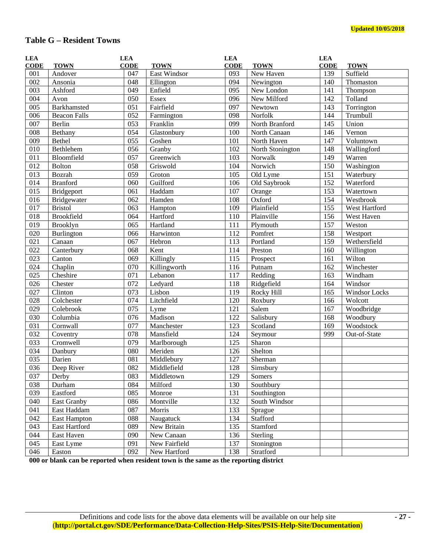# **Table G – Resident Towns**

| <b>LEA</b><br><b>CODE</b> | <b>TOWN</b>         | <b>LEA</b><br><b>CODE</b> | <b>TOWN</b>         | <b>LEA</b><br><b>CODE</b> | <b>TOWN</b>      | <b>LEA</b><br><b>CODE</b> | <b>TOWN</b>   |
|---------------------------|---------------------|---------------------------|---------------------|---------------------------|------------------|---------------------------|---------------|
| 001                       | Andover             | 047                       | <b>East Windsor</b> | 093                       | New Haven        | 139                       | Suffield      |
| 002                       | Ansonia             | 048                       | Ellington           | 094                       | Newington        | 140                       | Thomaston     |
| 003                       | Ashford             | 049                       | Enfield             | 095                       | New London       | 141                       | Thompson      |
| 004                       | Avon                | 050                       | <b>Essex</b>        | 096                       | New Milford      | 142                       | Tolland       |
| 005                       | Barkhamsted         | 051                       | Fairfield           | 097                       | Newtown          | 143                       | Torrington    |
| 006                       | <b>Beacon Falls</b> | 052                       | Farmington          | 098                       | Norfolk          | 144                       | Trumbull      |
| 007                       | Berlin              | 053                       | Franklin            | 099                       | North Branford   | 145                       | Union         |
| 008                       | Bethany             | 054                       | Glastonbury         | 100                       | North Canaan     | 146                       | Vernon        |
| $\overline{009}$          | Bethel              | 055                       | Goshen              | 101                       | North Haven      | 147                       | Voluntown     |
| 010                       | Bethlehem           | 056                       | Granby              | 102                       | North Stonington | 148                       | Wallingford   |
| 011                       | Bloomfield          | 057                       | Greenwich           | 103                       | Norwalk          | 149                       | Warren        |
| 012                       | Bolton              | 058                       | Griswold            | 104                       | Norwich          | 150                       | Washington    |
| 013                       | Bozrah              | 059                       | Groton              | 105                       | Old Lyme         | 151                       | Waterbury     |
| 014                       | <b>Branford</b>     | 060                       | Guilford            | 106                       | Old Saybrook     | 152                       | Waterford     |
| 015                       | Bridgeport          | 061                       | Haddam              | 107                       | Orange           | 153                       | Watertown     |
| 016                       | Bridgewater         | 062                       | Hamden              | 108                       | Oxford           | 154                       | Westbrook     |
| $\overline{017}$          | <b>Bristol</b>      | 063                       | Hampton             | 109                       | Plainfield       | $\overline{155}$          | West Hartford |
| $\overline{018}$          | <b>Brookfield</b>   | 064                       | Hartford            | 110                       | Plainville       | 156                       | West Haven    |
| $\overline{019}$          | Brooklyn            | 065                       | Hartland            | 111                       | Plymouth         | 157                       | Weston        |
| 020                       | Burlington          | 066                       | Harwinton           | 112                       | Pomfret          | 158                       | Westport      |
| 021                       | Canaan              | 067                       | Hebron              | 113                       | Portland         | 159                       | Wethersfield  |
| $\overline{022}$          | Canterbury          | 068                       | Kent                | 114                       | Preston          | 160                       | Willington    |
| 023                       | Canton              | 069                       | Killingly           | 115                       | Prospect         | 161                       | Wilton        |
| 024                       | Chaplin             | 070                       | Killingworth        | 116                       | Putnam           | 162                       | Winchester    |
| 025                       | Cheshire            | 071                       | Lebanon             | 117                       | Redding          | 163                       | Windham       |
| 026                       | Chester             | 072                       | Ledyard             | 118                       | Ridgefield       | 164                       | Windsor       |
| 027                       | Clinton             | 073                       | Lisbon              | 119                       | Rocky Hill       | 165                       | Windsor Locks |
| 028                       | Colchester          | 074                       | Litchfield          | 120                       | Roxbury          | 166                       | Wolcott       |
| $\overline{029}$          | Colebrook           | 075                       | Lyme                | 121                       | Salem            | 167                       | Woodbridge    |
| 030                       | Columbia            | 076                       | Madison             | 122                       | Salisbury        | 168                       | Woodbury      |
| 031                       | Cornwall            | 077                       | Manchester          | 123                       | Scotland         | 169                       | Woodstock     |
| 032                       | Coventry            | 078                       | Mansfield           | 124                       | Seymour          | 999                       | Out-of-State  |
| 033                       | Cromwell            | 079                       | Marlborough         | 125                       | Sharon           |                           |               |
| $\overline{034}$          | Danbury             | 080                       | Meriden             | 126                       | Shelton          |                           |               |
| 035                       | Darien              | 081                       | Middlebury          | 127                       | Sherman          |                           |               |
| 036                       | Deep River          | 082                       | Middlefield         | 128                       | Simsbury         |                           |               |
| 037                       | Derby               | 083                       | Middletown          | 129                       | Somers           |                           |               |
| 038                       | Durham              | 084                       | Milford             | 130                       | Southbury        |                           |               |
| 039                       | Eastford            | 085                       | Monroe              | 131                       | Southington      |                           |               |
| 040                       | East Granby         | 086                       | Montville           | 132                       | South Windsor    |                           |               |
| 041                       | East Haddam         | 087                       | Morris              | 133                       | Sprague          |                           |               |
| 042                       | East Hampton        | 088                       | Naugatuck           | 134                       | Stafford         |                           |               |
| 043                       | East Hartford       | 089                       | New Britain         | 135                       | Stamford         |                           |               |
| 044                       | East Haven          | 090                       | New Canaan          | 136                       | Sterling         |                           |               |
| 045                       | East Lyme           | 091                       | New Fairfield       | 137                       | Stonington       |                           |               |
| 046                       | Easton              | 092                       | New Hartford        | 138                       | Stratford        |                           |               |

**000 or blank can be reported when resident town is the same as the reporting district**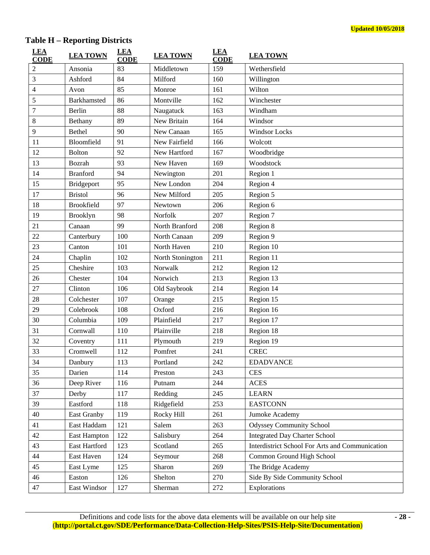# **Table H – Reporting Districts**

| <b>LEA</b><br><b>CODE</b> | <b>LEA TOWN</b>     | <b>LEA</b><br><b>CODE</b> | <b>LEA TOWN</b>  | <b>LEA</b><br><b>CODE</b> | <b>LEA TOWN</b>                                 |
|---------------------------|---------------------|---------------------------|------------------|---------------------------|-------------------------------------------------|
| 2                         | Ansonia             | 83                        | Middletown       | 159                       | Wethersfield                                    |
| 3                         | Ashford             | 84                        | Milford          | 160                       | Willington                                      |
| 4                         | Avon                | 85                        | Monroe           | 161                       | Wilton                                          |
| 5                         | Barkhamsted         | 86                        | Montville        | 162                       | Winchester                                      |
| $\overline{7}$            | Berlin              | 88                        | Naugatuck        | 163                       | Windham                                         |
| 8                         | Bethany             | 89                        | New Britain      | 164                       | Windsor                                         |
| 9                         | Bethel              | 90                        | New Canaan       | 165                       | Windsor Locks                                   |
| 11                        | Bloomfield          | 91                        | New Fairfield    | 166                       | Wolcott                                         |
| 12                        | <b>Bolton</b>       | 92                        | New Hartford     | 167                       | Woodbridge                                      |
| 13                        | Bozrah              | 93                        | New Haven        | 169                       | Woodstock                                       |
| 14                        | <b>Branford</b>     | 94                        | Newington        | 201                       | Region 1                                        |
| 15                        | Bridgeport          | 95                        | New London       | 204                       | Region 4                                        |
| 17                        | <b>Bristol</b>      | 96                        | New Milford      | 205                       | Region 5                                        |
| 18                        | <b>Brookfield</b>   | 97                        | Newtown          | 206                       | Region 6                                        |
| 19                        | Brooklyn            | 98                        | Norfolk          | 207                       | Region 7                                        |
| 21                        | Canaan              | 99                        | North Branford   | 208                       | Region 8                                        |
| 22                        | Canterbury          | 100                       | North Canaan     | 209                       | Region 9                                        |
| 23                        | Canton              | 101                       | North Haven      | 210                       | Region 10                                       |
| 24                        | Chaplin             | 102                       | North Stonington | 211                       | Region 11                                       |
| 25                        | Cheshire            | 103                       | Norwalk          | 212                       | Region 12                                       |
| 26                        | Chester             | 104                       | Norwich          | 213                       | Region 13                                       |
| 27                        | Clinton             | 106                       | Old Saybrook     | 214                       | Region 14                                       |
| 28                        | Colchester          | 107                       | Orange           | 215                       | Region 15                                       |
| 29                        | Colebrook           | 108                       | Oxford           | 216                       | Region 16                                       |
| 30                        | Columbia            | 109                       | Plainfield       | 217                       | Region 17                                       |
| 31                        | Cornwall            | 110                       | Plainville       | 218                       | Region 18                                       |
| 32                        | Coventry            | 111                       | Plymouth         | 219                       | Region 19                                       |
| 33                        | Cromwell            | 112                       | Pomfret          | 241                       | <b>CREC</b>                                     |
| 34                        | Danbury             | 113                       | Portland         | 242                       | <b>EDADVANCE</b>                                |
| 35                        | Darien              | 114                       | Preston          | 243                       | <b>CES</b>                                      |
| 36                        | Deep River          | 116                       | Putnam           | 244                       | <b>ACES</b>                                     |
| 37                        | Derby               | 117                       | Redding          | 245                       | <b>LEARN</b>                                    |
| 39                        | Eastford            | 118                       | Ridgefield       | 253                       | <b>EASTCONN</b>                                 |
| 40                        | East Granby         | 119                       | Rocky Hill       | 261                       | Jumoke Academy                                  |
| 41                        | East Haddam         | 121                       | Salem            | 263                       | <b>Odyssey Community School</b>                 |
| 42                        | <b>East Hampton</b> | 122                       | Salisbury        | 264                       | <b>Integrated Day Charter School</b>            |
| 43                        | East Hartford       | 123                       | Scotland         | 265                       | Interdistrict School For Arts and Communication |
| 44                        | East Haven          | 124                       | Seymour          | 268                       | Common Ground High School                       |
| 45                        | East Lyme           | 125                       | Sharon           | 269                       | The Bridge Academy                              |
| 46                        | Easton              | 126                       | Shelton          | 270                       | Side By Side Community School                   |
| 47                        | East Windsor        | 127                       | Sherman          | 272                       | Explorations                                    |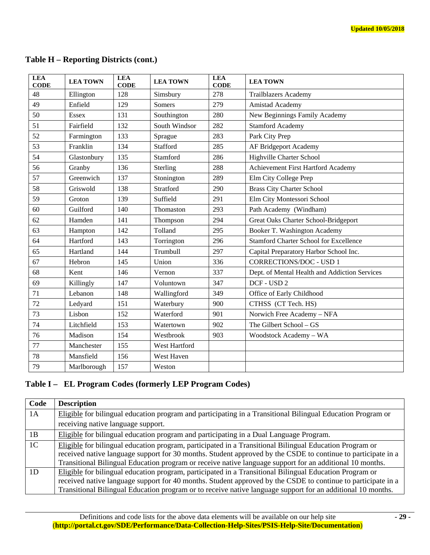| <b>LEA</b><br><b>CODE</b> | <b>LEA TOWN</b> | <b>LEA</b><br><b>CODE</b> | <b>LEA TOWN</b> | <b>LEA</b><br><b>CODE</b> | <b>LEA TOWN</b>                               |
|---------------------------|-----------------|---------------------------|-----------------|---------------------------|-----------------------------------------------|
| 48                        | Ellington       | 128                       | Simsbury        | 278                       | <b>Trailblazers Academy</b>                   |
| 49                        | Enfield         | 129                       | <b>Somers</b>   | 279                       | Amistad Academy                               |
| 50                        | <b>Essex</b>    | 131                       | Southington     | 280                       | New Beginnings Family Academy                 |
| 51                        | Fairfield       | 132                       | South Windsor   | 282                       | <b>Stamford Academy</b>                       |
| 52                        | Farmington      | 133                       | Sprague         | 283                       | Park City Prep                                |
| 53                        | Franklin        | 134                       | Stafford        | 285                       | AF Bridgeport Academy                         |
| 54                        | Glastonbury     | 135                       | Stamford        | 286                       | <b>Highville Charter School</b>               |
| 56                        | Granby          | 136                       | Sterling        | 288                       | Achievement First Hartford Academy            |
| 57                        | Greenwich       | 137                       | Stonington      | 289                       | Elm City College Prep                         |
| 58                        | Griswold        | 138                       | Stratford       | 290                       | <b>Brass City Charter School</b>              |
| 59                        | Groton          | 139                       | Suffield        | 291                       | Elm City Montessori School                    |
| 60                        | Guilford        | 140                       | Thomaston       | 293                       | Path Academy (Windham)                        |
| 62                        | Hamden          | 141                       | Thompson        | 294                       | <b>Great Oaks Charter School-Bridgeport</b>   |
| 63                        | Hampton         | 142                       | Tolland         | 295                       | Booker T. Washington Academy                  |
| 64                        | Hartford        | 143                       | Torrington      | 296                       | <b>Stamford Charter School for Excellence</b> |
| 65                        | Hartland        | 144                       | Trumbull        | 297                       | Capital Preparatory Harbor School Inc.        |
| 67                        | Hebron          | 145                       | Union           | 336                       | <b>CORRECTIONS/DOC - USD 1</b>                |
| 68                        | Kent            | 146                       | Vernon          | 337                       | Dept. of Mental Health and Addiction Services |
| 69                        | Killingly       | 147                       | Voluntown       | 347                       | DCF - USD 2                                   |
| 71                        | Lebanon         | 148                       | Wallingford     | 349                       | Office of Early Childhood                     |
| 72                        | Ledyard         | 151                       | Waterbury       | 900                       | CTHSS (CT Tech. HS)                           |
| 73                        | Lisbon          | 152                       | Waterford       | 901                       | Norwich Free Academy - NFA                    |
| 74                        | Litchfield      | 153                       | Watertown       | 902                       | The Gilbert School - GS                       |
| 76                        | Madison         | 154                       | Westbrook       | 903                       | Woodstock Academy - WA                        |
| 77                        | Manchester      | 155                       | West Hartford   |                           |                                               |
| 78                        | Mansfield       | 156                       | West Haven      |                           |                                               |
| 79                        | Marlborough     | 157                       | Weston          |                           |                                               |

# **Table H – Reporting Districts (cont.)**

# **Table I – EL Program Codes (formerly LEP Program Codes)**

| Code           | <b>Description</b>                                                                                           |
|----------------|--------------------------------------------------------------------------------------------------------------|
| 1A             | Eligible for bilingual education program and participating in a Transitional Bilingual Education Program or  |
|                | receiving native language support.                                                                           |
| 1B             | Eligible for bilingual education program and participating in a Dual Language Program.                       |
| 1 <sup>C</sup> | Eligible for bilingual education program, participated in a Transitional Bilingual Education Program or      |
|                | received native language support for 30 months. Student approved by the CSDE to continue to participate in a |
|                | Transitional Bilingual Education program or receive native language support for an additional 10 months.     |
| 1D             | Eligible for bilingual education program, participated in a Transitional Bilingual Education Program or      |
|                | received native language support for 40 months. Student approved by the CSDE to continue to participate in a |
|                | Transitional Bilingual Education program or to receive native language support for an additional 10 months.  |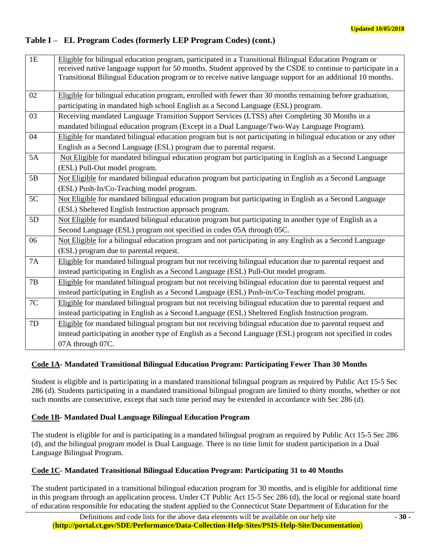# **Table I** – **EL Program Codes (formerly LEP Program Codes) (cont.)**

| 1E | Eligible for bilingual education program, participated in a Transitional Bilingual Education Program or<br>received native language support for 50 months. Student approved by the CSDE to continue to participate in a<br>Transitional Bilingual Education program or to receive native language support for an additional 10 months. |
|----|----------------------------------------------------------------------------------------------------------------------------------------------------------------------------------------------------------------------------------------------------------------------------------------------------------------------------------------|
| 02 | Eligible for bilingual education program, enrolled with fewer than 30 months remaining before graduation,<br>participating in mandated high school English as a Second Language (ESL) program.                                                                                                                                         |
| 03 | Receiving mandated Language Transition Support Services (LTSS) after Completing 30 Months in a<br>mandated bilingual education program (Except in a Dual Language/Two-Way Language Program).                                                                                                                                           |
| 04 | Eligible for mandated bilingual education program but is not participating in bilingual education or any other<br>English as a Second Language (ESL) program due to parental request.                                                                                                                                                  |
| 5A | Not Eligible for mandated bilingual education program but participating in English as a Second Language<br>(ESL) Pull-Out model program.                                                                                                                                                                                               |
| 5B | Not Eligible for mandated bilingual education program but participating in English as a Second Language<br>(ESL) Push-In/Co-Teaching model program.                                                                                                                                                                                    |
| 5C | Not Eligible for mandated bilingual education program but participating in English as a Second Language<br>(ESL) Sheltered English Instruction approach program.                                                                                                                                                                       |
| 5D | Not Eligible for mandated bilingual education program but participating in another type of English as a<br>Second Language (ESL) program not specified in codes 05A through 05C.                                                                                                                                                       |
| 06 | Not Eligible for a bilingual education program and not participating in any English as a Second Language<br>(ESL) program due to parental request.                                                                                                                                                                                     |
| 7A | Eligible for mandated bilingual program but not receiving bilingual education due to parental request and<br>instead participating in English as a Second Language (ESL) Pull-Out model program.                                                                                                                                       |
| 7B | Eligible for mandated bilingual program but not receiving bilingual education due to parental request and<br>instead participating in English as a Second Language (ESL) Push-in/Co-Teaching model program.                                                                                                                            |
| 7C | Eligible for mandated bilingual program but not receiving bilingual education due to parental request and<br>instead participating in English as a Second Language (ESL) Sheltered English Instruction program.                                                                                                                        |
| 7D | Eligible for mandated bilingual program but not receiving bilingual education due to parental request and<br>instead participating in another type of English as a Second Language (ESL) program not specified in codes<br>07A through 07C.                                                                                            |

# **Code 1A- Mandated Transitional Bilingual Education Program: Participating Fewer Than 30 Months**

Student is eligible and is participating in a mandated transitional bilingual program as required by Public Act 15-5 Sec 286 (d). Students participating in a mandated transitional bilingual program are limited to thirty months, whether or not such months are consecutive, except that such time period may be extended in accordance with Sec 286 (d).

# **Code 1B- Mandated Dual Language Bilingual Education Program**

The student is eligible for and is participating in a mandated bilingual program as required by Public Act 15-5 Sec 286 (d), and the bilingual program model is Dual Language. There is no time limit for student participation in a Dual Language Bilingual Program.

# **Code 1C- Mandated Transitional Bilingual Education Program: Participating 31 to 40 Months**

The student participated in a transitional bilingual education program for 30 months, and is eligible for additional time in this program through an application process. Under CT Public Act 15-5 Sec 286 (d), the local or regional state board of education responsible for educating the student applied to the Connecticut State Department of Education for the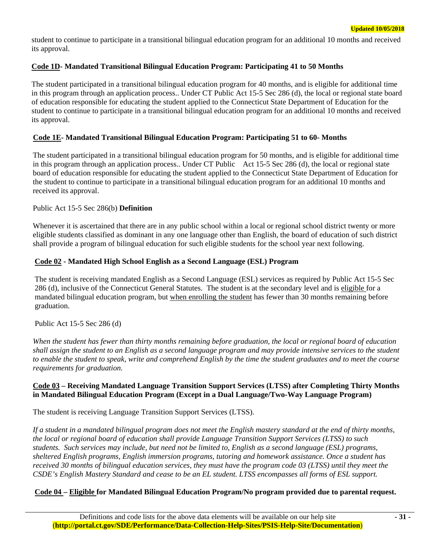student to continue to participate in a transitional bilingual education program for an additional 10 months and received its approval.

## **Code 1D- Mandated Transitional Bilingual Education Program: Participating 41 to 50 Months**

The student participated in a transitional bilingual education program for 40 months, and is eligible for additional time in this program through an application process.. Under CT Public Act 15-5 Sec 286 (d), the local or regional state board of education responsible for educating the student applied to the Connecticut State Department of Education for the student to continue to participate in a transitional bilingual education program for an additional 10 months and received its approval.

## **Code 1E- Mandated Transitional Bilingual Education Program: Participating 51 to 60- Months**

The student participated in a transitional bilingual education program for 50 months, and is eligible for additional time in this program through an application process.. Under CT Public Act 15-5 Sec 286 (d), the local or regional state board of education responsible for educating the student applied to the Connecticut State Department of Education for the student to continue to participate in a transitional bilingual education program for an additional 10 months and received its approval.

#### Public Act 15-5 Sec 286(b) **Definition**

Whenever it is ascertained that there are in any public school within a local or regional school district twenty or more eligible students classified as dominant in any one language other than English, the board of education of such district shall provide a program of bilingual education for such eligible students for the school year next following.

#### **Code 02 - Mandated High School English as a Second Language (ESL) Program**

The student is receiving mandated English as a Second Language (ESL) services as required by Public Act 15-5 Sec 286 (d), inclusive of the Connecticut General Statutes. The student is at the secondary level and is eligible for a mandated bilingual education program, but when enrolling the student has fewer than 30 months remaining before graduation.

#### Public Act 15-5 Sec 286 (d)

*When the student has fewer than thirty months remaining before graduation, the local or regional board of education shall assign the student to an English as a second language program and may provide intensive services to the student to enable the student to speak, write and comprehend English by the time the student graduates and to meet the course requirements for graduation.* 

#### **Code 03 – Receiving Mandated Language Transition Support Services (LTSS) after Completing Thirty Months in Mandated Bilingual Education Program (Except in a Dual Language/Two-Way Language Program)**

The student is receiving Language Transition Support Services (LTSS).

*If a student in a mandated bilingual program does not meet the English mastery standard at the end of thirty months, the local or regional board of education shall provide Language Transition Support Services (LTSS) to such students. Such services may include, but need not be limited to, English as a second language (ESL) programs, sheltered English programs, English immersion programs, tutoring and homework assistance. Once a student has received 30 months of bilingual education services, they must have the program code 03 (LTSS) until they meet the CSDE's English Mastery Standard and cease to be an EL student. LTSS encompasses all forms of ESL support.* 

# **Code 04 – Eligible for Mandated Bilingual Education Program/No program provided due to parental request.**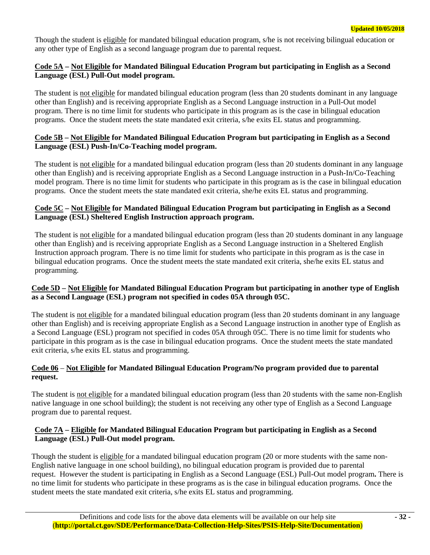Though the student is eligible for mandated bilingual education program, s/he is not receiving bilingual education or any other type of English as a second language program due to parental request.

## **Code 5A – Not Eligible for Mandated Bilingual Education Program but participating in English as a Second Language (ESL) Pull-Out model program.**

The student is not eligible for mandated bilingual education program (less than 20 students dominant in any language other than English) and is receiving appropriate English as a Second Language instruction in a Pull-Out model program. There is no time limit for students who participate in this program as is the case in bilingual education programs. Once the student meets the state mandated exit criteria, s/he exits EL status and programming.

## **Code 5B – Not Eligible for Mandated Bilingual Education Program but participating in English as a Second Language (ESL) Push-In/Co-Teaching model program.**

The student is not eligible for a mandated bilingual education program (less than 20 students dominant in any language other than English) and is receiving appropriate English as a Second Language instruction in a Push-In/Co-Teaching model program. There is no time limit for students who participate in this program as is the case in bilingual education programs. Once the student meets the state mandated exit criteria, she/he exits EL status and programming.

## **Code 5C – Not Eligible for Mandated Bilingual Education Program but participating in English as a Second Language (ESL) Sheltered English Instruction approach program.**

The student is not eligible for a mandated bilingual education program (less than 20 students dominant in any language other than English) and is receiving appropriate English as a Second Language instruction in a Sheltered English Instruction approach program. There is no time limit for students who participate in this program as is the case in bilingual education programs. Once the student meets the state mandated exit criteria, she/he exits EL status and programming.

## **Code 5D – Not Eligible for Mandated Bilingual Education Program but participating in another type of English as a Second Language (ESL) program not specified in codes 05A through 05C.**

The student is not eligible for a mandated bilingual education program (less than 20 students dominant in any language other than English) and is receiving appropriate English as a Second Language instruction in another type of English as a Second Language (ESL) program not specified in codes 05A through 05C. There is no time limit for students who participate in this program as is the case in bilingual education programs. Once the student meets the state mandated exit criteria, s/he exits EL status and programming.

# **Code 06** – **Not Eligible for Mandated Bilingual Education Program/No program provided due to parental request.**

The student is not eligible for a mandated bilingual education program (less than 20 students with the same non-English native language in one school building); the student is not receiving any other type of English as a Second Language program due to parental request.

# **Code 7A – Eligible for Mandated Bilingual Education Program but participating in English as a Second Language (ESL) Pull-Out model program.**

Though the student is eligible for a mandated bilingual education program (20 or more students with the same non-English native language in one school building), no bilingual education program is provided due to parental request. However the student is participating in English as a Second Language (ESL) Pull-Out model program**.** There is no time limit for students who participate in these programs as is the case in bilingual education programs. Once the student meets the state mandated exit criteria, s/he exits EL status and programming.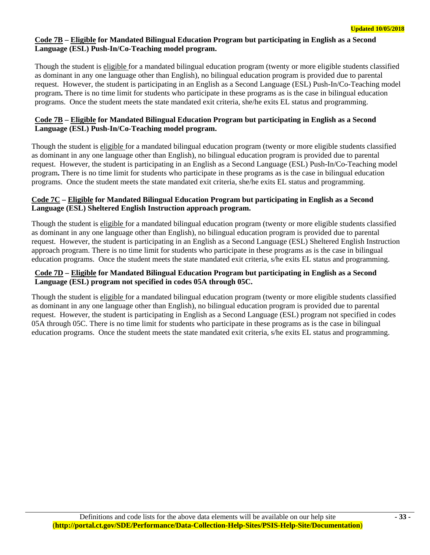## **Code 7B – Eligible for Mandated Bilingual Education Program but participating in English as a Second Language (ESL) Push-In/Co-Teaching model program.**

Though the student is eligible for a mandated bilingual education program (twenty or more eligible students classified as dominant in any one language other than English), no bilingual education program is provided due to parental request. However, the student is participating in an English as a Second Language (ESL) Push-In/Co-Teaching model program**.** There is no time limit for students who participate in these programs as is the case in bilingual education programs. Once the student meets the state mandated exit criteria, she/he exits EL status and programming.

## **Code 7B – Eligible for Mandated Bilingual Education Program but participating in English as a Second Language (ESL) Push-In/Co-Teaching model program.**

Though the student is eligible for a mandated bilingual education program (twenty or more eligible students classified as dominant in any one language other than English), no bilingual education program is provided due to parental request. However, the student is participating in an English as a Second Language (ESL) Push-In/Co-Teaching model program**.** There is no time limit for students who participate in these programs as is the case in bilingual education programs. Once the student meets the state mandated exit criteria, she/he exits EL status and programming.

## **Code 7C – Eligible for Mandated Bilingual Education Program but participating in English as a Second Language (ESL) Sheltered English Instruction approach program.**

Though the student is eligible for a mandated bilingual education program (twenty or more eligible students classified as dominant in any one language other than English), no bilingual education program is provided due to parental request. However, the student is participating in an English as a Second Language (ESL) Sheltered English Instruction approach program. There is no time limit for students who participate in these programs as is the case in bilingual education programs. Once the student meets the state mandated exit criteria, s/he exits EL status and programming.

## **Code 7D – Eligible for Mandated Bilingual Education Program but participating in English as a Second Language (ESL) program not specified in codes 05A through 05C.**

Though the student is eligible for a mandated bilingual education program (twenty or more eligible students classified as dominant in any one language other than English), no bilingual education program is provided due to parental request. However, the student is participating in English as a Second Language (ESL) program not specified in codes 05A through 05C. There is no time limit for students who participate in these programs as is the case in bilingual education programs. Once the student meets the state mandated exit criteria, s/he exits EL status and programming.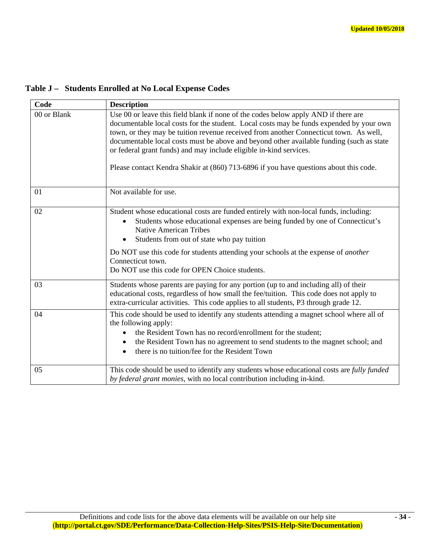| Code        | <b>Description</b>                                                                                                                                                                                                                                                                                                                                                                                                                                                                                                                |
|-------------|-----------------------------------------------------------------------------------------------------------------------------------------------------------------------------------------------------------------------------------------------------------------------------------------------------------------------------------------------------------------------------------------------------------------------------------------------------------------------------------------------------------------------------------|
| 00 or Blank | Use 00 or leave this field blank if none of the codes below apply AND if there are<br>documentable local costs for the student. Local costs may be funds expended by your own<br>town, or they may be tuition revenue received from another Connecticut town. As well,<br>documentable local costs must be above and beyond other available funding (such as state<br>or federal grant funds) and may include eligible in-kind services.<br>Please contact Kendra Shakir at (860) 713-6896 if you have questions about this code. |
| 01          | Not available for use.                                                                                                                                                                                                                                                                                                                                                                                                                                                                                                            |
| 02          | Student whose educational costs are funded entirely with non-local funds, including:<br>Students whose educational expenses are being funded by one of Connecticut's<br>$\bullet$<br><b>Native American Tribes</b><br>Students from out of state who pay tuition<br>$\bullet$<br>Do NOT use this code for students attending your schools at the expense of <i>another</i><br>Connecticut town.<br>Do NOT use this code for OPEN Choice students.                                                                                 |
| 03          | Students whose parents are paying for any portion (up to and including all) of their<br>educational costs, regardless of how small the fee/tuition. This code does not apply to<br>extra-curricular activities. This code applies to all students, P3 through grade 12.                                                                                                                                                                                                                                                           |
| 04          | This code should be used to identify any students attending a magnet school where all of<br>the following apply:<br>the Resident Town has no record/enrollment for the student;<br>the Resident Town has no agreement to send students to the magnet school; and<br>٠<br>there is no tuition/fee for the Resident Town<br>$\bullet$                                                                                                                                                                                               |
| 05          | This code should be used to identify any students whose educational costs are fully funded<br>by federal grant monies, with no local contribution including in-kind.                                                                                                                                                                                                                                                                                                                                                              |

**Table J – Students Enrolled at No Local Expense Codes**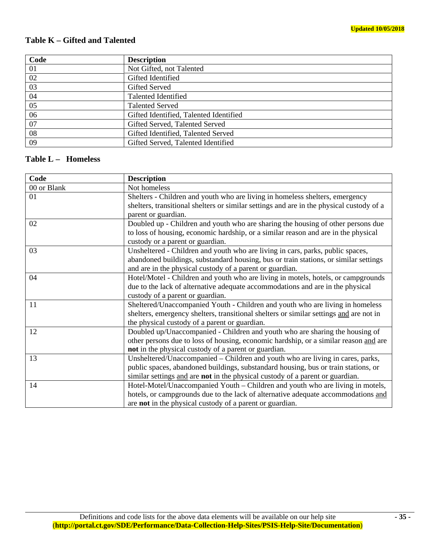# **Table K – Gifted and Talented**

| Code | <b>Description</b>                     |
|------|----------------------------------------|
| 01   | Not Gifted, not Talented               |
| 02   | Gifted Identified                      |
| 03   | Gifted Served                          |
| 04   | <b>Talented Identified</b>             |
| 05   | <b>Talented Served</b>                 |
| 06   | Gifted Identified, Talented Identified |
| 07   | Gifted Served, Talented Served         |
| 08   | Gifted Identified, Talented Served     |
| 09   | Gifted Served, Talented Identified     |

# **Table L – Homeless**

| Code        | <b>Description</b>                                                                                                                                                                                                                                    |
|-------------|-------------------------------------------------------------------------------------------------------------------------------------------------------------------------------------------------------------------------------------------------------|
| 00 or Blank | Not homeless                                                                                                                                                                                                                                          |
| 01          | Shelters - Children and youth who are living in homeless shelters, emergency<br>shelters, transitional shelters or similar settings and are in the physical custody of a<br>parent or guardian.                                                       |
| 02          | Doubled up - Children and youth who are sharing the housing of other persons due<br>to loss of housing, economic hardship, or a similar reason and are in the physical<br>custody or a parent or guardian.                                            |
| 03          | Unsheltered - Children and youth who are living in cars, parks, public spaces,<br>abandoned buildings, substandard housing, bus or train stations, or similar settings<br>and are in the physical custody of a parent or guardian.                    |
| 04          | Hotel/Motel - Children and youth who are living in motels, hotels, or campgrounds<br>due to the lack of alternative adequate accommodations and are in the physical<br>custody of a parent or guardian.                                               |
| 11          | Sheltered/Unaccompanied Youth - Children and youth who are living in homeless<br>shelters, emergency shelters, transitional shelters or similar settings and are not in<br>the physical custody of a parent or guardian.                              |
| 12          | Doubled up/Unaccompanied - Children and youth who are sharing the housing of<br>other persons due to loss of housing, economic hardship, or a similar reason and are<br>not in the physical custody of a parent or guardian.                          |
| 13          | Unsheltered/Unaccompanied - Children and youth who are living in cares, parks,<br>public spaces, abandoned buildings, substandard housing, bus or train stations, or<br>similar settings and are not in the physical custody of a parent or guardian. |
| 14          | Hotel-Motel/Unaccompanied Youth – Children and youth who are living in motels,<br>hotels, or campgrounds due to the lack of alternative adequate accommodations and<br>are not in the physical custody of a parent or guardian.                       |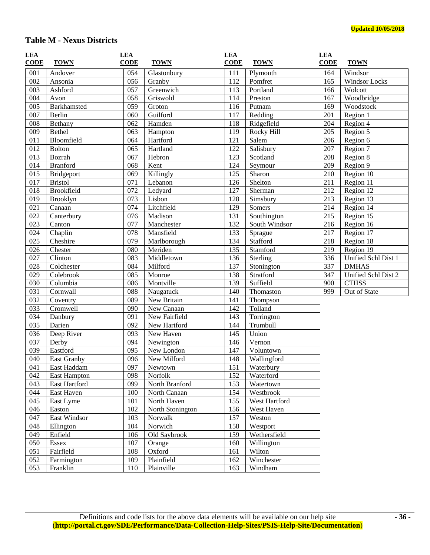# **Table M - Nexus Districts**

| LEA         |                     | <b>LEA</b> |                  | <b>LEA</b>  |               | <b>LEA</b>  |                     |
|-------------|---------------------|------------|------------------|-------------|---------------|-------------|---------------------|
| <b>CODE</b> | <b>TOWN</b>         | $CODE$     | <b>TOWN</b>      | <b>CODE</b> | <b>TOWN</b>   | <b>CODE</b> | <b>TOWN</b>         |
| 001         | Andover             | 054        | Glastonbury      | 111         | Plymouth      | 164         | Windsor             |
| 002         | Ansonia             | 056        | Granby           | 112         | Pomfret       | 165         | Windsor Locks       |
| 003         | Ashford             | 057        | Greenwich        | 113         | Portland      | 166         | Wolcott             |
| 004         | Avon                | 058        | Griswold         | 114         | Preston       | 167         | Woodbridge          |
| 005         | Barkhamsted         | 059        | Groton           | 116         | Putnam        | 169         | Woodstock           |
| 007         | Berlin              | 060        | Guilford         | 117         | Redding       | 201         | Region 1            |
| 008         | Bethany             | 062        | Hamden           | 118         | Ridgefield    | 204         | Region 4            |
| 009         | Bethel              | 063        | Hampton          | 119         | Rocky Hill    | 205         | Region 5            |
| 011         | Bloomfield          | 064        | Hartford         | 121         | Salem         | 206         | Region 6            |
| 012         | <b>Bolton</b>       | 065        | Hartland         | 122         | Salisbury     | 207         | Region 7            |
| 013         | Bozrah              | 067        | Hebron           | 123         | Scotland      | 208         | Region 8            |
| 014         | <b>Branford</b>     | 068        | Kent             | 124         | Seymour       | 209         | Region 9            |
| 015         | Bridgeport          | 069        | Killingly        | 125         | Sharon        | 210         | Region 10           |
| 017         | <b>Bristol</b>      | 071        | Lebanon          | 126         | Shelton       | 211         | Region 11           |
| 018         | <b>Brookfield</b>   | 072        | Ledyard          | 127         | Sherman       | 212         | Region 12           |
| 019         | <b>Brooklyn</b>     | 073        | Lisbon           | 128         | Simsbury      | 213         | Region 13           |
| 021         | Canaan              | 074        | Litchfield       | 129         | Somers        | 214         | Region 14           |
| 022         | Canterbury          | 076        | Madison          | 131         | Southington   | 215         | Region 15           |
| 023         | Canton              | 077        | Manchester       | 132         | South Windsor | 216         | Region 16           |
| 024         | Chaplin             | 078        | Mansfield        | 133         | Sprague       | 217         | Region 17           |
| 025         | Cheshire            | 079        | Marlborough      | 134         | Stafford      | 218         | Region 18           |
| 026         | Chester             | 080        | Meriden          | 135         | Stamford      | 219         | Region 19           |
| 027         | Clinton             | 083        | Middletown       | 136         | Sterling      | 336         | Unified Schl Dist 1 |
| 028         | Colchester          | 084        | Milford          | 137         | Stonington    | 337         | <b>DMHAS</b>        |
| 029         | Colebrook           | 085        | Monroe           | 138         | Stratford     | 347         | Unified Schl Dist 2 |
| 030         | Columbia            | 086        | Montville        | 139         | Suffield      | 900         | <b>CTHSS</b>        |
| 031         | Cornwall            | 088        | Naugatuck        | 140         | Thomaston     | 999         | Out of State        |
| 032         | Coventry            | 089        | New Britain      | 141         | Thompson      |             |                     |
| 033         | Cromwell            | 090        | New Canaan       | 142         | Tolland       |             |                     |
| 034         | Danbury             | 091        | New Fairfield    | 143         | Torrington    |             |                     |
| 035         | Darien              | 092        | New Hartford     | 144         | Trumbull      |             |                     |
| 036         | Deep River          | 093        | New Haven        | 145         | Union         |             |                     |
| 037         | Derby               | 094        | Newington        | 146         | Vernon        |             |                     |
| 039         | Eastford            | 095        | New London       | 147         | Voluntown     |             |                     |
| 040         | East Granby         | 096        | New Milford      | 148         | Wallingford   |             |                     |
| 041         | East Haddam         | 097        | Newtown          | 151         | Waterbury     |             |                     |
| 042         | <b>East Hampton</b> | 098        | Norfolk          | 152         | Waterford     |             |                     |
| 043         | East Hartford       | 099        | North Branford   | 153         | Watertown     |             |                     |
| 044         | East Haven          | 100        | North Canaan     | 154         | Westbrook     |             |                     |
| 045         | East Lyme           | 101        | North Haven      | 155         | West Hartford |             |                     |
| 046         | Easton              | 102        | North Stonington | 156         | West Haven    |             |                     |
| 047         | East Windsor        | 103        | Norwalk          | 157         | Weston        |             |                     |
| 048         | Ellington           | 104        | Norwich          | 158         | Westport      |             |                     |
| 049         | Enfield             | 106        | Old Saybrook     | 159         | Wethersfield  |             |                     |
| 050         | Essex               | 107        | Orange           | 160         | Willington    |             |                     |
| 051         | Fairfield           | 108        | Oxford           | 161         | Wilton        |             |                     |
| 052         | Farmington          | 109        | Plainfield       | 162         | Winchester    |             |                     |
| 053         | Franklin            | 110        | Plainville       | 163         | Windham       |             |                     |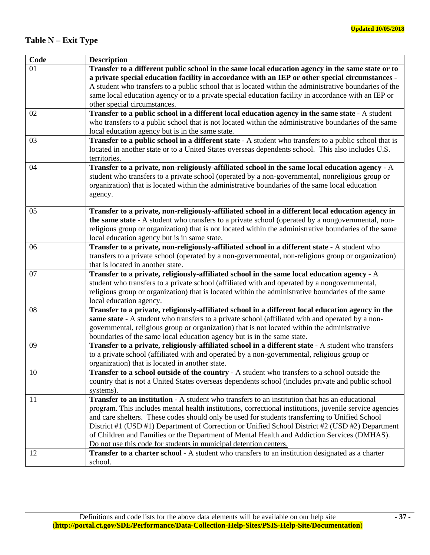# **Table N – Exit Type**

| Code | <b>Description</b>                                                                                                                       |
|------|------------------------------------------------------------------------------------------------------------------------------------------|
| 01   | Transfer to a different public school in the same local education agency in the same state or to                                         |
|      | a private special education facility in accordance with an IEP or other special circumstances -                                          |
|      | A student who transfers to a public school that is located within the administrative boundaries of the                                   |
|      | same local education agency or to a private special education facility in accordance with an IEP or                                      |
|      | other special circumstances.                                                                                                             |
| 02   | Transfer to a public school in a different local education agency in the same state - A student                                          |
|      | who transfers to a public school that is not located within the administrative boundaries of the same                                    |
|      | local education agency but is in the same state.                                                                                         |
| 03   | Transfer to a public school in a different state - A student who transfers to a public school that is                                    |
|      | located in another state or to a United States overseas dependents school. This also includes U.S.                                       |
|      | territories.                                                                                                                             |
| 04   | Transfer to a private, non-religiously-affiliated school in the same local education agency - A                                          |
|      | student who transfers to a private school (operated by a non-governmental, nonreligious group or                                         |
|      | organization) that is located within the administrative boundaries of the same local education                                           |
|      | agency.                                                                                                                                  |
|      |                                                                                                                                          |
| 05   | Transfer to a private, non-religiously-affiliated school in a different local education agency in                                        |
|      | the same state - A student who transfers to a private school (operated by a nongovernmental, non-                                        |
|      | religious group or organization) that is not located within the administrative boundaries of the same                                    |
|      | local education agency but is in same state.                                                                                             |
| 06   | Transfer to a private, non-religiously-affiliated school in a different state - A student who                                            |
|      | transfers to a private school (operated by a non-governmental, non-religious group or organization)<br>that is located in another state. |
| 07   | Transfer to a private, religiously-affiliated school in the same local education agency - A                                              |
|      | student who transfers to a private school (affiliated with and operated by a nongovernmental,                                            |
|      | religious group or organization) that is located within the administrative boundaries of the same                                        |
|      | local education agency.                                                                                                                  |
| 08   | Transfer to a private, religiously-affiliated school in a different local education agency in the                                        |
|      | same state - A student who transfers to a private school (affiliated with and operated by a non-                                         |
|      | governmental, religious group or organization) that is not located within the administrative                                             |
|      | boundaries of the same local education agency but is in the same state.                                                                  |
| 09   | Transfer to a private, religiously-affiliated school in a different state - A student who transfers                                      |
|      | to a private school (affiliated with and operated by a non-governmental, religious group or                                              |
|      | organization) that is located in another state.                                                                                          |
| 10   | Transfer to a school outside of the country - A student who transfers to a school outside the                                            |
|      | country that is not a United States overseas dependents school (includes private and public school                                       |
|      | systems).                                                                                                                                |
| 11   | <b>Transfer to an institution</b> - A student who transfers to an institution that has an educational                                    |
|      | program. This includes mental health institutions, correctional institutions, juvenile service agencies                                  |
|      | and care shelters. These codes should only be used for students transferring to Unified School                                           |
|      | District #1 (USD #1) Department of Correction or Unified School District #2 (USD #2) Department                                          |
|      | of Children and Families or the Department of Mental Health and Addiction Services (DMHAS).                                              |
|      | Do not use this code for students in municipal detention centers.                                                                        |
| 12   | <b>Transfer to a charter school</b> - A student who transfers to an institution designated as a charter                                  |
|      | school.                                                                                                                                  |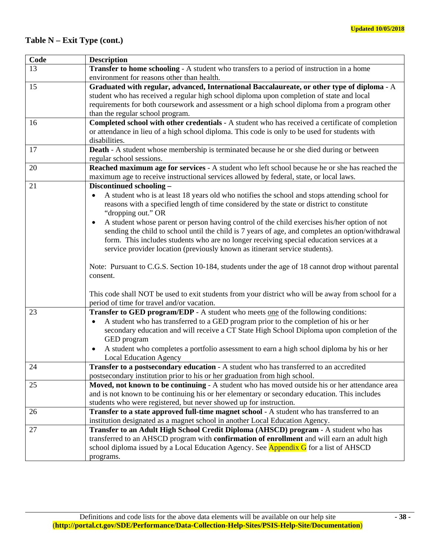# **Table N – Exit Type (cont.)**

| Code | <b>Description</b>                                                                                             |
|------|----------------------------------------------------------------------------------------------------------------|
| 13   | <b>Transfer to home schooling - A student who transfers to a period of instruction in a home</b>               |
|      | environment for reasons other than health.                                                                     |
| 15   | Graduated with regular, advanced, International Baccalaureate, or other type of diploma - A                    |
|      | student who has received a regular high school diploma upon completion of state and local                      |
|      | requirements for both coursework and assessment or a high school diploma from a program other                  |
|      | than the regular school program.                                                                               |
| 16   | Completed school with other credentials - A student who has received a certificate of completion               |
|      | or attendance in lieu of a high school diploma. This code is only to be used for students with                 |
|      | disabilities.                                                                                                  |
| 17   | <b>Death</b> - A student whose membership is terminated because he or she died during or between               |
|      | regular school sessions.                                                                                       |
| 20   | Reached maximum age for services - A student who left school because he or she has reached the                 |
|      | maximum age to receive instructional services allowed by federal, state, or local laws.                        |
| 21   | Discontinued schooling -                                                                                       |
|      | A student who is at least 18 years old who notifies the school and stops attending school for                  |
|      | reasons with a specified length of time considered by the state or district to constitute                      |
|      | "dropping out." OR                                                                                             |
|      | A student whose parent or person having control of the child exercises his/her option of not<br>$\bullet$      |
|      | sending the child to school until the child is 7 years of age, and completes an option/withdrawal              |
|      | form. This includes students who are no longer receiving special education services at a                       |
|      | service provider location (previously known as itinerant service students).                                    |
|      |                                                                                                                |
|      | Note: Pursuant to C.G.S. Section 10-184, students under the age of 18 cannot drop without parental<br>consent. |
|      |                                                                                                                |
|      | This code shall NOT be used to exit students from your district who will be away from school for a             |
|      | period of time for travel and/or vacation.                                                                     |
| 23   | Transfer to GED program/EDP - A student who meets one of the following conditions:                             |
|      | A student who has transferred to a GED program prior to the completion of his or her                           |
|      | secondary education and will receive a CT State High School Diploma upon completion of the                     |
|      | GED program                                                                                                    |
|      | A student who completes a portfolio assessment to earn a high school diploma by his or her                     |
|      | <b>Local Education Agency</b>                                                                                  |
| 24   | Transfer to a postsecondary education - A student who has transferred to an accredited                         |
|      | postsecondary institution prior to his or her graduation from high school.                                     |
| 25   | Moved, not known to be continuing - A student who has moved outside his or her attendance area                 |
|      | and is not known to be continuing his or her elementary or secondary education. This includes                  |
|      | students who were registered, but never showed up for instruction.                                             |
| 26   | <b>Transfer to a state approved full-time magnet school - A student who has transferred to an</b>              |
|      | institution designated as a magnet school in another Local Education Agency.                                   |
| 27   | Transfer to an Adult High School Credit Diploma (AHSCD) program - A student who has                            |
|      | transferred to an AHSCD program with confirmation of enrollment and will earn an adult high                    |
|      | school diploma issued by a Local Education Agency. See <b>Appendix G</b> for a list of AHSCD                   |
|      | programs.                                                                                                      |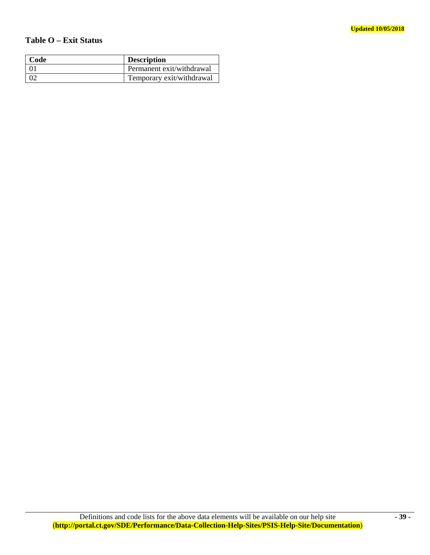# **Table O – Exit Status**

| Code | <b>Description</b>        |
|------|---------------------------|
|      | Permanent exit/withdrawal |
|      | Temporary exit/withdrawal |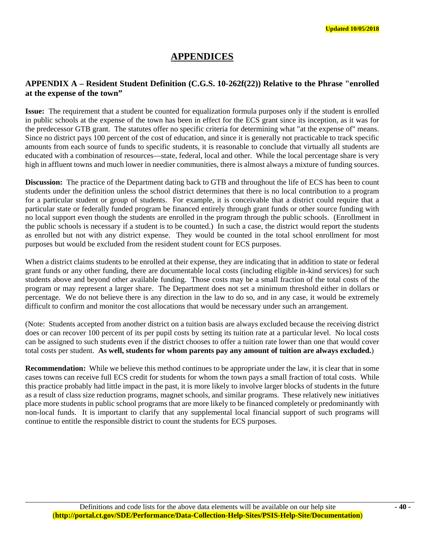# **APPENDICES**

# **APPENDIX A – Resident Student Definition (C.G.S. 10-262f(22)) Relative to the Phrase "enrolled at the expense of the town"**

**Issue:** The requirement that a student be counted for equalization formula purposes only if the student is enrolled in public schools at the expense of the town has been in effect for the ECS grant since its inception, as it was for the predecessor GTB grant. The statutes offer no specific criteria for determining what "at the expense of" means. Since no district pays 100 percent of the cost of education, and since it is generally not practicable to track specific amounts from each source of funds to specific students, it is reasonable to conclude that virtually all students are educated with a combination of resources—state, federal, local and other. While the local percentage share is very high in affluent towns and much lower in needier communities, there is almost always a mixture of funding sources.

**Discussion:** The practice of the Department dating back to GTB and throughout the life of ECS has been to count students under the definition unless the school district determines that there is no local contribution to a program for a particular student or group of students. For example, it is conceivable that a district could require that a particular state or federally funded program be financed entirely through grant funds or other source funding with no local support even though the students are enrolled in the program through the public schools. (Enrollment in the public schools is necessary if a student is to be counted.) In such a case, the district would report the students as enrolled but not with any district expense. They would be counted in the total school enrollment for most purposes but would be excluded from the resident student count for ECS purposes.

When a district claims students to be enrolled at their expense, they are indicating that in addition to state or federal grant funds or any other funding, there are documentable local costs (including eligible in-kind services) for such students above and beyond other available funding. Those costs may be a small fraction of the total costs of the program or may represent a larger share. The Department does not set a minimum threshold either in dollars or percentage. We do not believe there is any direction in the law to do so, and in any case, it would be extremely difficult to confirm and monitor the cost allocations that would be necessary under such an arrangement.

(Note: Students accepted from another district on a tuition basis are always excluded because the receiving district does or can recover 100 percent of its per pupil costs by setting its tuition rate at a particular level. No local costs can be assigned to such students even if the district chooses to offer a tuition rate lower than one that would cover total costs per student. **As well, students for whom parents pay any amount of tuition are always excluded.**)

**Recommendation:** While we believe this method continues to be appropriate under the law, it is clear that in some cases towns can receive full ECS credit for students for whom the town pays a small fraction of total costs. While this practice probably had little impact in the past, it is more likely to involve larger blocks of students in the future as a result of class size reduction programs, magnet schools, and similar programs. These relatively new initiatives place more students in public school programs that are more likely to be financed completely or predominantly with non-local funds. It is important to clarify that any supplemental local financial support of such programs will continue to entitle the responsible district to count the students for ECS purposes.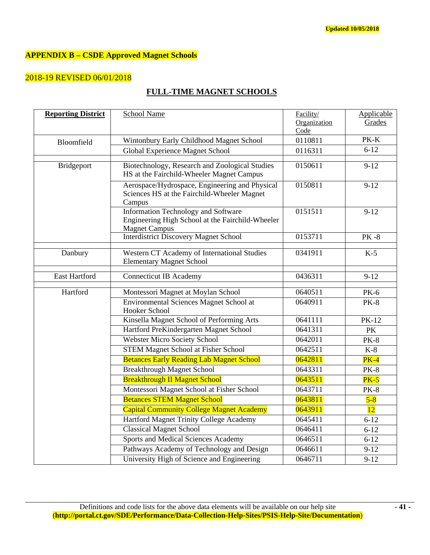# **APPENDIX B – CSDE Approved Magnet Schools**

# 2018-19 REVISED 06/01/2018

# **FULL-TIME MAGNET SCHOOLS**

| <b>Reporting District</b> | School Name                                                                                                     | Facility/    | Applicable   |
|---------------------------|-----------------------------------------------------------------------------------------------------------------|--------------|--------------|
|                           |                                                                                                                 | Organization | Grades       |
|                           |                                                                                                                 | Code         |              |
| Bloomfield                | Wintonbury Early Childhood Magnet School                                                                        | 0110811      | PK-K         |
|                           | Global Experience Magnet School                                                                                 | 0116311      | $6 - 12$     |
| <b>Bridgeport</b>         | Biotechnology, Research and Zoological Studies<br>HS at the Fairchild-Wheeler Magnet Campus                     | 0150611      | $9 - 12$     |
|                           | Aerospace/Hydrospace, Engineering and Physical<br>Sciences HS at the Fairchild-Wheeler Magnet<br>Campus         | 0150811      | $9 - 12$     |
|                           | Information Technology and Software<br>Engineering High School at the Fairchild-Wheeler<br><b>Magnet Campus</b> | 0151511      | $9 - 12$     |
|                           | <b>Interdistrict Discovery Magnet School</b>                                                                    | 0153711      | <b>PK-8</b>  |
| Danbury                   | Western CT Academy of International Studies<br><b>Elementary Magnet School</b>                                  | 0341911      | $K-5$        |
| East Hartford             | <b>Connecticut IB Academy</b>                                                                                   | 0436311      | $9 - 12$     |
| Hartford                  | Montessori Magnet at Moylan School                                                                              | 0640511      | <b>PK-6</b>  |
|                           | Environmental Sciences Magnet School at<br>Hooker School                                                        | 0640911      | <b>PK-8</b>  |
|                           | Kinsella Magnet School of Performing Arts                                                                       | 0641111      | <b>PK-12</b> |
|                           | Hartford PreKindergarten Magnet School                                                                          | 0641311      | PK           |
|                           | <b>Webster Micro Society School</b>                                                                             | 0642011      | <b>PK-8</b>  |
|                           | <b>STEM Magnet School at Fisher School</b>                                                                      | 0642511      | $K-8$        |
|                           | <b>Betances Early Reading Lab Magnet School</b>                                                                 | 0642811      | $PK-4$       |
|                           | <b>Breakthrough Magnet School</b>                                                                               | 0643311      | <b>PK-8</b>  |
|                           | <b>Breakthrough II Magnet School</b>                                                                            | 0643511      | $PK-5$       |
|                           | Montessori Magnet School at Fisher School                                                                       | 0643711      | <b>PK-8</b>  |
|                           | <b>Betances STEM Magnet School</b>                                                                              | 0643811      | $5-8$        |
|                           | <b>Capital Community College Magnet Academy</b>                                                                 | 0643911      | 12           |
|                           | Hartford Magnet Trinity College Academy                                                                         | 0645411      | $6 - 12$     |
|                           | <b>Classical Magnet School</b>                                                                                  | 0646411      | $6 - 12$     |
|                           | Sports and Medical Sciences Academy                                                                             | 0646511      | $6 - 12$     |
|                           | Pathways Academy of Technology and Design                                                                       | 0646611      | $9 - 12$     |
|                           | University High of Science and Engineering                                                                      | 0646711      | $9 - 12$     |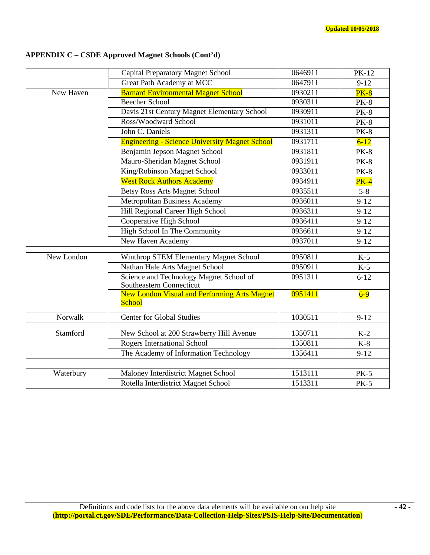# **APPENDIX C – CSDE Approved Magnet Schools (Cont'd)**

|            | <b>Capital Preparatory Magnet School</b>                             | 0646911            | <b>PK-12</b> |
|------------|----------------------------------------------------------------------|--------------------|--------------|
|            | Great Path Academy at MCC                                            | 0647911            | $9-12$       |
| New Haven  | <b>Barnard Environmental Magnet School</b>                           | 0930211            | $PK-8$       |
|            | <b>Beecher School</b>                                                | 0930311            | <b>PK-8</b>  |
|            | Davis 21st Century Magnet Elementary School                          | 0930911            | <b>PK-8</b>  |
|            | Ross/Woodward School                                                 | 0931011            | <b>PK-8</b>  |
|            | John C. Daniels                                                      | 0931311            | <b>PK-8</b>  |
|            | <b>Engineering - Science University Magnet School</b>                | 0931711            | $6 - 12$     |
|            | Benjamin Jepson Magnet School                                        | 0931811            | <b>PK-8</b>  |
|            | Mauro-Sheridan Magnet School                                         | 0931911            | <b>PK-8</b>  |
|            | King/Robinson Magnet School                                          | 0933011            | <b>PK-8</b>  |
|            | <b>West Rock Authors Academy</b>                                     | 0934911            | $PK-4$       |
|            | <b>Betsy Ross Arts Magnet School</b>                                 | 0935511            | $5 - 8$      |
|            | <b>Metropolitan Business Academy</b>                                 | 0936011            | $9 - 12$     |
|            | Hill Regional Career High School                                     | 0936311            | $9 - 12$     |
|            | $\overline{09364}11$                                                 | $9 - 12$           |              |
|            | 0936611                                                              | $9 - 12$           |              |
|            | New Haven Academy                                                    | 0937011            | $9 - 12$     |
|            |                                                                      |                    |              |
| New London | Winthrop STEM Elementary Magnet School                               | 0950811<br>0950911 | $K-5$        |
|            | <b>Nathan Hale Arts Magnet School</b>                                |                    | $K-5$        |
|            | Science and Technology Magnet School of<br>Southeastern Connecticut  | 0951311            | $6 - 12$     |
|            | <b>New London Visual and Performing Arts Magnet</b><br><b>School</b> | 0951411            | $6-9$        |
| Norwalk    | <b>Center for Global Studies</b>                                     | 1030511            | $9 - 12$     |
| Stamford   | New School at 200 Strawberry Hill Avenue                             | 1350711            | $K-2$        |
|            | Rogers International School                                          | 1350811            | $K-8$        |
|            | The Academy of Information Technology                                | 1356411            | $9 - 12$     |
|            |                                                                      |                    |              |
| Waterbury  | Maloney Interdistrict Magnet School                                  | 1513111            | $PK-5$       |
|            | Rotella Interdistrict Magnet School                                  | 1513311            | $PK-5$       |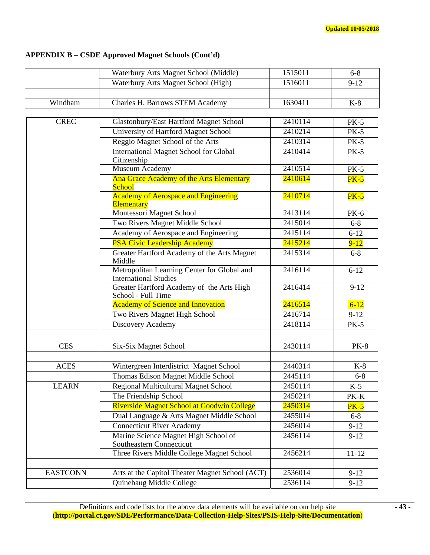# **APPENDIX B – CSDE Approved Magnet Schools (Cont'd)**

|                 | Waterbury Arts Magnet School (Middle)                                       | 1515011 | $6 - 8$     |
|-----------------|-----------------------------------------------------------------------------|---------|-------------|
|                 | Waterbury Arts Magnet School (High)                                         | 1516011 | $9 - 12$    |
|                 |                                                                             |         |             |
| Windham         | Charles H. Barrows STEM Academy                                             | 1630411 | $K-8$       |
|                 |                                                                             |         |             |
| <b>CREC</b>     | Glastonbury/East Hartford Magnet School                                     | 2410114 |             |
|                 | University of Hartford Magnet School                                        | 2410214 | $PK-5$      |
|                 | Reggio Magnet School of the Arts                                            | 2410314 | <b>PK-5</b> |
|                 | <b>International Magnet School for Global</b>                               | 2410414 | $PK-5$      |
|                 | Citizenship                                                                 |         |             |
|                 | Museum Academy                                                              | 2410514 | $PK-5$      |
|                 | Ana Grace Academy of the Arts Elementary<br><b>School</b>                   | 2410614 | $PK-5$      |
|                 | <b>Academy of Aerospace and Engineering</b><br><b>Elementary</b>            | 2410714 | $PK-5$      |
|                 | Montessori Magnet School                                                    | 2413114 | <b>PK-6</b> |
|                 | Two Rivers Magnet Middle School                                             | 2415014 | $6 - 8$     |
|                 | Academy of Aerospace and Engineering                                        | 2415114 | $6 - 12$    |
|                 | <b>PSA Civic Leadership Academy</b>                                         | 2415214 | $9 - 12$    |
|                 | Greater Hartford Academy of the Arts Magnet<br>Middle                       | 2415314 | $6 - 8$     |
|                 | Metropolitan Learning Center for Global and<br><b>International Studies</b> | 2416114 | $6 - 12$    |
|                 | Greater Hartford Academy of the Arts High<br>School - Full Time             | 2416414 | $9 - 12$    |
|                 | <b>Academy of Science and Innovation</b>                                    | 2416514 | $6 - 12$    |
|                 | Two Rivers Magnet High School                                               | 2416714 | $9-12$      |
|                 | Discovery Academy                                                           | 2418114 | $PK-5$      |
|                 |                                                                             |         |             |
| <b>CES</b>      | Six-Six Magnet School                                                       | 2430114 | <b>PK-8</b> |
|                 |                                                                             |         |             |
| <b>ACES</b>     | Wintergreen Interdistrict Magnet School                                     | 2440314 | $K-8$       |
|                 | Thomas Edison Magnet Middle School                                          | 2445114 | $6 - 8$     |
| <b>LEARN</b>    | Regional Multicultural Magnet School                                        | 2450114 | $K-5$       |
|                 | The Friendship School                                                       | 2450214 | PK-K        |
|                 | Riverside Magnet School at Goodwin College                                  | 2450314 | $PK-5$      |
|                 | Dual Language & Arts Magnet Middle School                                   | 2455014 | $6 - 8$     |
|                 | <b>Connecticut River Academy</b>                                            | 2456014 | $9 - 12$    |
|                 | Marine Science Magnet High School of                                        | 2456114 | $9-12$      |
|                 | Southeastern Connecticut                                                    |         |             |
|                 | Three Rivers Middle College Magnet School                                   | 2456214 | $11 - 12$   |
|                 |                                                                             |         |             |
| <b>EASTCONN</b> | Arts at the Capitol Theater Magnet School (ACT)                             | 2536014 | $9-12$      |
|                 | Quinebaug Middle College                                                    | 2536114 | $9-12$      |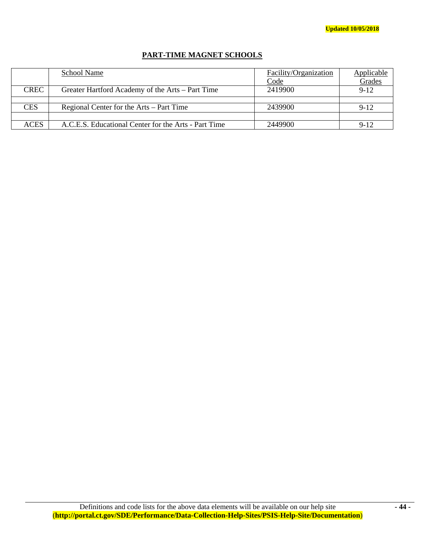# **PART-TIME MAGNET SCHOOLS**

|             | School Name                                          | Facility/Organization<br><u>Code</u> | <b>Applicable</b><br><b>Grades</b> |
|-------------|------------------------------------------------------|--------------------------------------|------------------------------------|
| <b>CREC</b> | Greater Hartford Academy of the Arts – Part Time     | 2419900                              | $9 - 12$                           |
|             |                                                      |                                      |                                    |
| <b>CES</b>  | Regional Center for the Arts – Part Time             | 2439900                              | $9-12$                             |
|             |                                                      |                                      |                                    |
| <b>ACES</b> | A.C.E.S. Educational Center for the Arts - Part Time | 2449900                              | $9 - 12$                           |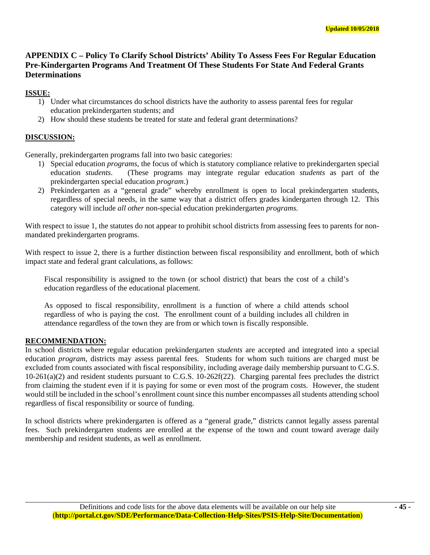# **APPENDIX C – Policy To Clarify School Districts' Ability To Assess Fees For Regular Education Pre-Kindergarten Programs And Treatment Of These Students For State And Federal Grants Determinations**

# **ISSUE:**

- 1) Under what circumstances do school districts have the authority to assess parental fees for regular education prekindergarten students; and
- 2) How should these students be treated for state and federal grant determinations?

## **DISCUSSION:**

Generally, prekindergarten programs fall into two basic categories:

- 1) Special education *programs*, the focus of which is statutory compliance relative to prekindergarten special education *students*. (These programs may integrate regular education *students* as part of the prekindergarten special education *program*.)
- 2) Prekindergarten as a "general grade" whereby enrollment is open to local prekindergarten students, regardless of special needs, in the same way that a district offers grades kindergarten through 12. This category will include *all other* non-special education prekindergarten *programs.*

With respect to issue 1, the statutes do not appear to prohibit school districts from assessing fees to parents for nonmandated prekindergarten programs.

With respect to issue 2, there is a further distinction between fiscal responsibility and enrollment, both of which impact state and federal grant calculations, as follows:

Fiscal responsibility is assigned to the town (or school district) that bears the cost of a child's education regardless of the educational placement.

As opposed to fiscal responsibility, enrollment is a function of where a child attends school regardless of who is paying the cost. The enrollment count of a building includes all children in attendance regardless of the town they are from or which town is fiscally responsible.

#### **RECOMMENDATION:**

In school districts where regular education prekindergarten *students* are accepted and integrated into a special education *program*, districts may assess parental fees. Students for whom such tuitions are charged must be excluded from counts associated with fiscal responsibility, including average daily membership pursuant to C.G.S. 10-261(a)(2) and resident students pursuant to C.G.S. 10-262f(22). Charging parental fees precludes the district from claiming the student even if it is paying for some or even most of the program costs. However, the student would still be included in the school's enrollment count since this number encompasses all students attending school regardless of fiscal responsibility or source of funding.

In school districts where prekindergarten is offered as a "general grade," districts cannot legally assess parental fees. Such prekindergarten students are enrolled at the expense of the town and count toward average daily membership and resident students, as well as enrollment.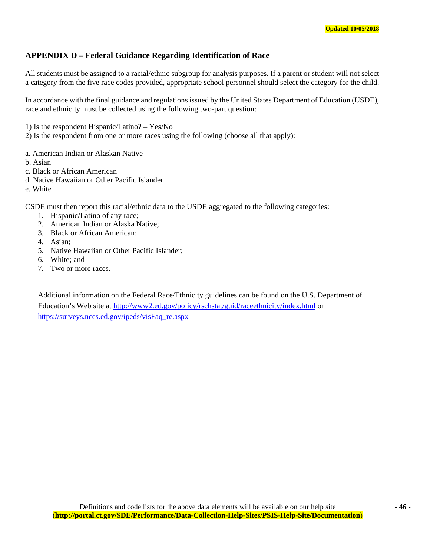# **APPENDIX D – Federal Guidance Regarding Identification of Race**

All students must be assigned to a racial/ethnic subgroup for analysis purposes. If a parent or student will not select a category from the five race codes provided, appropriate school personnel should select the category for the child.

In accordance with the final guidance and regulations issued by the United States Department of Education (USDE), race and ethnicity must be collected using the following two-part question:

1) Is the respondent Hispanic/Latino? – Yes/No

2) Is the respondent from one or more races using the following (choose all that apply):

- a. American Indian or Alaskan Native
- b. Asian
- c. Black or African American
- d. Native Hawaiian or Other Pacific Islander
- e. White

CSDE must then report this racial/ethnic data to the USDE aggregated to the following categories:

- 1. Hispanic/Latino of any race;
- 2. American Indian or Alaska Native;
- 3. Black or African American;
- 4. Asian;
- 5. Native Hawaiian or Other Pacific Islander;
- 6. White; and
- 7. Two or more races.

Additional information on the Federal Race/Ethnicity guidelines can be found on the U.S. Department of Education's Web site at http://www2.ed.gov/policy/rschstat/guid/raceethnicity/index.html or https://surveys.nces.ed.gov/ipeds/visFaq\_re.aspx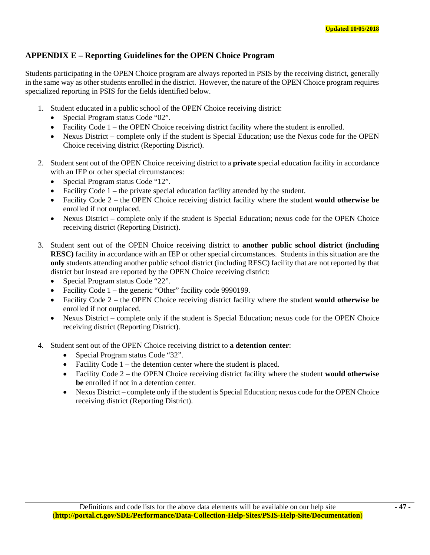# **APPENDIX E – Reporting Guidelines for the OPEN Choice Program**

Students participating in the OPEN Choice program are always reported in PSIS by the receiving district, generally in the same way as other students enrolled in the district. However, the nature of the OPEN Choice program requires specialized reporting in PSIS for the fields identified below.

- 1. Student educated in a public school of the OPEN Choice receiving district:
	- Special Program status Code "02".
	- Facility Code  $1 -$  the OPEN Choice receiving district facility where the student is enrolled.
	- Nexus District complete only if the student is Special Education; use the Nexus code for the OPEN Choice receiving district (Reporting District).
- 2. Student sent out of the OPEN Choice receiving district to a **private** special education facility in accordance with an IEP or other special circumstances:
	- Special Program status Code "12".
	- Facility Code 1 the private special education facility attended by the student.
	- Facility Code 2 the OPEN Choice receiving district facility where the student **would otherwise be** enrolled if not outplaced.
	- Nexus District complete only if the student is Special Education; nexus code for the OPEN Choice receiving district (Reporting District).
- 3. Student sent out of the OPEN Choice receiving district to **another public school district (including RESC)** facility in accordance with an IEP or other special circumstances. Students in this situation are the **only** students attending another public school district (including RESC) facility that are not reported by that district but instead are reported by the OPEN Choice receiving district:
	- Special Program status Code "22".
	- Facility Code 1 the generic "Other" facility code 9990199.
	- Facility Code 2 the OPEN Choice receiving district facility where the student **would otherwise be** enrolled if not outplaced.
	- Nexus District complete only if the student is Special Education; nexus code for the OPEN Choice receiving district (Reporting District).
- 4. Student sent out of the OPEN Choice receiving district to **a detention center**:
	- Special Program status Code "32".
	- Facility Code  $1$  the detention center where the student is placed.
	- Facility Code 2 the OPEN Choice receiving district facility where the student **would otherwise be** enrolled if not in a detention center.
	- Nexus District complete only if the student is Special Education; nexus code for the OPEN Choice receiving district (Reporting District).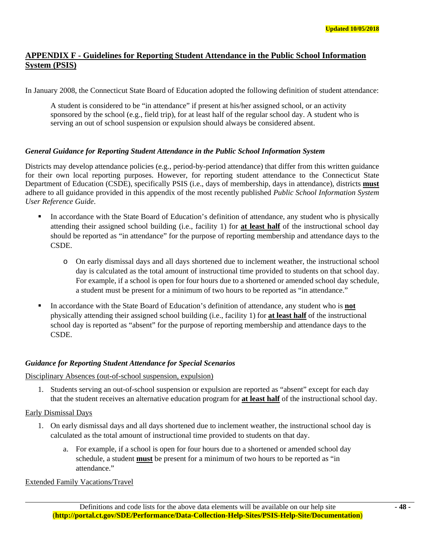# **APPENDIX F - Guidelines for Reporting Student Attendance in the Public School Information System (PSIS)**

In January 2008, the Connecticut State Board of Education adopted the following definition of student attendance:

A student is considered to be "in attendance" if present at his/her assigned school, or an activity sponsored by the school (e.g., field trip), for at least half of the regular school day. A student who is serving an out of school suspension or expulsion should always be considered absent.

## *General Guidance for Reporting Student Attendance in the Public School Information System*

Districts may develop attendance policies (e.g., period-by-period attendance) that differ from this written guidance for their own local reporting purposes. However, for reporting student attendance to the Connecticut State Department of Education (CSDE), specifically PSIS (i.e., days of membership, days in attendance), districts **must** adhere to all guidance provided in this appendix of the most recently published *Public School Information System User Reference Guide*.

- In accordance with the State Board of Education's definition of attendance, any student who is physically attending their assigned school building (i.e., facility 1) for **at least half** of the instructional school day should be reported as "in attendance" for the purpose of reporting membership and attendance days to the CSDE.
	- o On early dismissal days and all days shortened due to inclement weather, the instructional school day is calculated as the total amount of instructional time provided to students on that school day. For example, if a school is open for four hours due to a shortened or amended school day schedule, a student must be present for a minimum of two hours to be reported as "in attendance."
- In accordance with the State Board of Education's definition of attendance, any student who is **not** physically attending their assigned school building (i.e., facility 1) for **at least half** of the instructional school day is reported as "absent" for the purpose of reporting membership and attendance days to the CSDE.

# *Guidance for Reporting Student Attendance for Special Scenarios*

#### Disciplinary Absences (out-of-school suspension, expulsion)

1. Students serving an out-of-school suspension or expulsion are reported as "absent" except for each day that the student receives an alternative education program for **at least half** of the instructional school day.

# Early Dismissal Days

- 1. On early dismissal days and all days shortened due to inclement weather, the instructional school day is calculated as the total amount of instructional time provided to students on that day.
	- a. For example, if a school is open for four hours due to a shortened or amended school day schedule, a student **must** be present for a minimum of two hours to be reported as "in attendance."

Extended Family Vacations/Travel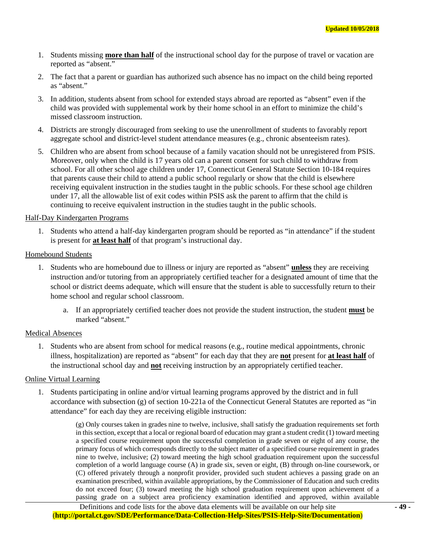- 1. Students missing **more than half** of the instructional school day for the purpose of travel or vacation are reported as "absent."
- 2. The fact that a parent or guardian has authorized such absence has no impact on the child being reported as "absent."
- 3. In addition, students absent from school for extended stays abroad are reported as "absent" even if the child was provided with supplemental work by their home school in an effort to minimize the child's missed classroom instruction.
- 4. Districts are strongly discouraged from seeking to use the unenrollment of students to favorably report aggregate school and district-level student attendance measures (e.g., chronic absenteeism rates).
- 5. Children who are absent from school because of a family vacation should not be unregistered from PSIS. Moreover, only when the child is 17 years old can a parent consent for such child to withdraw from school. For all other school age children under 17, Connecticut General Statute Section 10-184 requires that parents cause their child to attend a public school regularly or show that the child is elsewhere receiving equivalent instruction in the studies taught in the public schools. For these school age children under 17, all the allowable list of exit codes within PSIS ask the parent to affirm that the child is continuing to receive equivalent instruction in the studies taught in the public schools.

#### Half-Day Kindergarten Programs

1. Students who attend a half-day kindergarten program should be reported as "in attendance" if the student is present for **at least half** of that program's instructional day.

#### Homebound Students

- 1. Students who are homebound due to illness or injury are reported as "absent" **unless** they are receiving instruction and/or tutoring from an appropriately certified teacher for a designated amount of time that the school or district deems adequate, which will ensure that the student is able to successfully return to their home school and regular school classroom.
	- a. If an appropriately certified teacher does not provide the student instruction, the student **must** be marked "absent."

#### Medical Absences

1. Students who are absent from school for medical reasons (e.g., routine medical appointments, chronic illness, hospitalization) are reported as "absent" for each day that they are **not** present for **at least half** of the instructional school day and **not** receiving instruction by an appropriately certified teacher.

#### Online Virtual Learning

1. Students participating in online and/or virtual learning programs approved by the district and in full accordance with subsection (g) of section 10-221a of the Connecticut General Statutes are reported as "in attendance" for each day they are receiving eligible instruction:

> (g) Only courses taken in grades nine to twelve, inclusive, shall satisfy the graduation requirements set forth in this section, except that a local or regional board of education may grant a student credit (1) toward meeting a specified course requirement upon the successful completion in grade seven or eight of any course, the primary focus of which corresponds directly to the subject matter of a specified course requirement in grades nine to twelve, inclusive; (2) toward meeting the high school graduation requirement upon the successful completion of a world language course (A) in grade six, seven or eight, (B) through on-line coursework, or (C) offered privately through a nonprofit provider, provided such student achieves a passing grade on an examination prescribed, within available appropriations, by the Commissioner of Education and such credits do not exceed four; (3) toward meeting the high school graduation requirement upon achievement of a passing grade on a subject area proficiency examination identified and approved, within available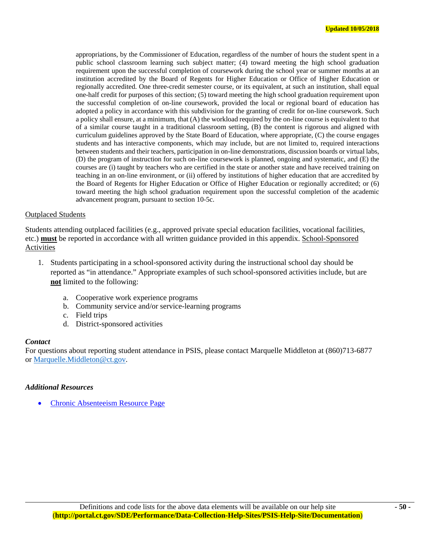appropriations, by the Commissioner of Education, regardless of the number of hours the student spent in a public school classroom learning such subject matter; (4) toward meeting the high school graduation requirement upon the successful completion of coursework during the school year or summer months at an institution accredited by the Board of Regents for Higher Education or Office of Higher Education or regionally accredited. One three-credit semester course, or its equivalent, at such an institution, shall equal one-half credit for purposes of this section; (5) toward meeting the high school graduation requirement upon the successful completion of on-line coursework, provided the local or regional board of education has adopted a policy in accordance with this subdivision for the granting of credit for on-line coursework. Such a policy shall ensure, at a minimum, that (A) the workload required by the on-line course is equivalent to that of a similar course taught in a traditional classroom setting, (B) the content is rigorous and aligned with curriculum guidelines approved by the State Board of Education, where appropriate, (C) the course engages students and has interactive components, which may include, but are not limited to, required interactions between students and their teachers, participation in on-line demonstrations, discussion boards or virtual labs, (D) the program of instruction for such on-line coursework is planned, ongoing and systematic, and (E) the courses are (i) taught by teachers who are certified in the state or another state and have received training on teaching in an on-line environment, or (ii) offered by institutions of higher education that are accredited by the Board of Regents for Higher Education or Office of Higher Education or regionally accredited; or (6) toward meeting the high school graduation requirement upon the successful completion of the academic advancement program, pursuant to section 10-5c.

#### Outplaced Students

Students attending outplaced facilities (e.g., approved private special education facilities, vocational facilities, etc.) **must** be reported in accordance with all written guidance provided in this appendix. School-Sponsored Activities

- 1. Students participating in a school-sponsored activity during the instructional school day should be reported as "in attendance." Appropriate examples of such school-sponsored activities include, but are **not** limited to the following:
	- a. Cooperative work experience programs
	- b. Community service and/or service-learning programs
	- c. Field trips
	- d. District-sponsored activities

#### *Contact*

For questions about reporting student attendance in PSIS, please contact Marquelle Middleton at (860)713-6877 or Marquelle.Middleton@ct.gov.

#### *Additional Resources*

Chronic Absenteeism Resource Page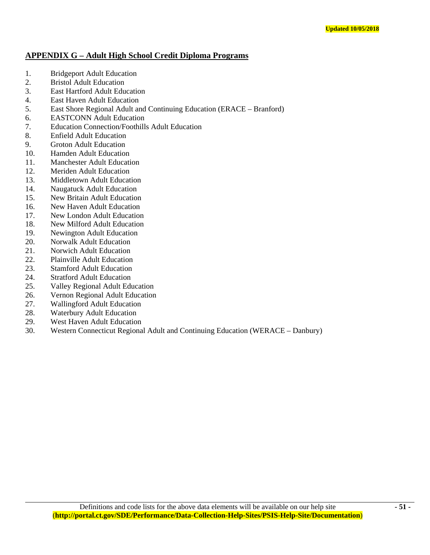# **APPENDIX G – Adult High School Credit Diploma Programs**

- 1. Bridgeport Adult Education
- 2. Bristol Adult Education
- 3. East Hartford Adult Education
- 4. East Haven Adult Education
- 5. East Shore Regional Adult and Continuing Education (ERACE Branford)
- 6. EASTCONN Adult Education
- 7. Education Connection/Foothills Adult Education
- 8. Enfield Adult Education
- 9. Groton Adult Education
- 10. Hamden Adult Education
- 11. Manchester Adult Education
- 12. Meriden Adult Education
- 13. Middletown Adult Education
- 14. Naugatuck Adult Education
- 15. New Britain Adult Education
- 16. New Haven Adult Education
- 17. New London Adult Education
- 18. New Milford Adult Education
- 19. Newington Adult Education
- 20. Norwalk Adult Education
- 21. Norwich Adult Education
- 22. Plainville Adult Education
- 23. Stamford Adult Education
- 24. Stratford Adult Education
- 25. Valley Regional Adult Education
- 26. Vernon Regional Adult Education
- 27. Wallingford Adult Education
- 28. Waterbury Adult Education
- 29. West Haven Adult Education
- 30. Western Connecticut Regional Adult and Continuing Education (WERACE Danbury)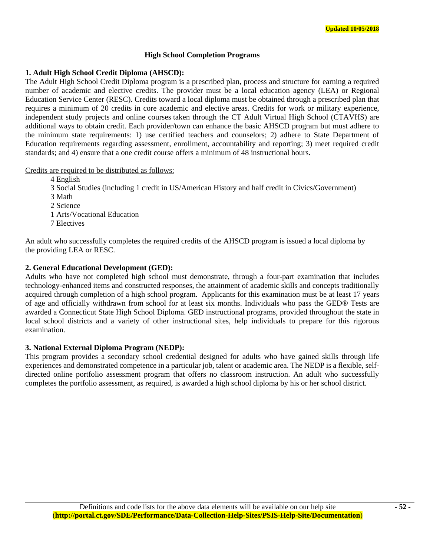#### **High School Completion Programs**

#### **1. Adult High School Credit Diploma (AHSCD):**

The Adult High School Credit Diploma program is a prescribed plan, process and structure for earning a required number of academic and elective credits. The provider must be a local education agency (LEA) or Regional Education Service Center (RESC). Credits toward a local diploma must be obtained through a prescribed plan that requires a minimum of 20 credits in core academic and elective areas. Credits for work or military experience, independent study projects and online courses taken through the CT Adult Virtual High School (CTAVHS) are additional ways to obtain credit. Each provider/town can enhance the basic AHSCD program but must adhere to the minimum state requirements: 1) use certified teachers and counselors; 2) adhere to State Department of Education requirements regarding assessment, enrollment, accountability and reporting; 3) meet required credit standards; and 4) ensure that a one credit course offers a minimum of 48 instructional hours.

#### Credits are required to be distributed as follows:

4 English

3 Social Studies (including 1 credit in US/American History and half credit in Civics/Government)

- 3 Math
- 2 Science

1 Arts/Vocational Education

7 Electives

An adult who successfully completes the required credits of the AHSCD program is issued a local diploma by the providing LEA or RESC.

## **2. General Educational Development (GED):**

Adults who have not completed high school must demonstrate, through a four-part examination that includes technology-enhanced items and constructed responses, the attainment of academic skills and concepts traditionally acquired through completion of a high school program. Applicants for this examination must be at least 17 years of age and officially withdrawn from school for at least six months. Individuals who pass the GED® Tests are awarded a Connecticut State High School Diploma. GED instructional programs, provided throughout the state in local school districts and a variety of other instructional sites, help individuals to prepare for this rigorous examination.

#### **3. National External Diploma Program (NEDP):**

This program provides a secondary school credential designed for adults who have gained skills through life experiences and demonstrated competence in a particular job, talent or academic area. The NEDP is a flexible, selfdirected online portfolio assessment program that offers no classroom instruction. An adult who successfully completes the portfolio assessment, as required, is awarded a high school diploma by his or her school district.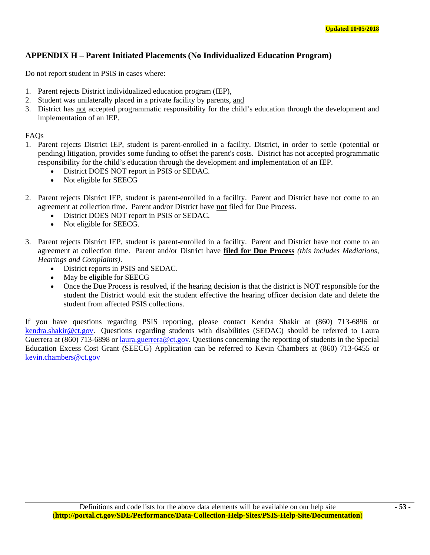# **APPENDIX H – Parent Initiated Placements (No Individualized Education Program)**

Do not report student in PSIS in cases where:

- 1. Parent rejects District individualized education program (IEP),
- 2. Student was unilaterally placed in a private facility by parents, and
- 3. District has not accepted programmatic responsibility for the child's education through the development and implementation of an IEP.

FAQs

- 1. Parent rejects District IEP, student is parent-enrolled in a facility. District, in order to settle (potential or pending) litigation, provides some funding to offset the parent's costs. District has not accepted programmatic responsibility for the child's education through the development and implementation of an IEP.
	- District DOES NOT report in PSIS or SEDAC.
	- Not eligible for SEECG
- 2. Parent rejects District IEP, student is parent-enrolled in a facility. Parent and District have not come to an agreement at collection time. Parent and/or District have **not** filed for Due Process.
	- District DOES NOT report in PSIS or SEDAC.
	- Not eligible for SEECG.
- 3. Parent rejects District IEP, student is parent-enrolled in a facility. Parent and District have not come to an agreement at collection time. Parent and/or District have **filed for Due Process** *(this includes Mediations, Hearings and Complaints)*.
	- District reports in PSIS and SEDAC.
	- May be eligible for SEECG
	- Once the Due Process is resolved, if the hearing decision is that the district is NOT responsible for the student the District would exit the student effective the hearing officer decision date and delete the student from affected PSIS collections.

If you have questions regarding PSIS reporting, please contact Kendra Shakir at (860) 713-6896 or kendra.shakir@ct.gov. Questions regarding students with disabilities (SEDAC) should be referred to Laura Guerrera at (860) 713-6898 or <u>laura.guerrera@ct.gov</u>. Questions concerning the reporting of students in the Special Education Excess Cost Grant (SEECG) Application can be referred to Kevin Chambers at (860) 713-6455 or kevin.chambers@ct.gov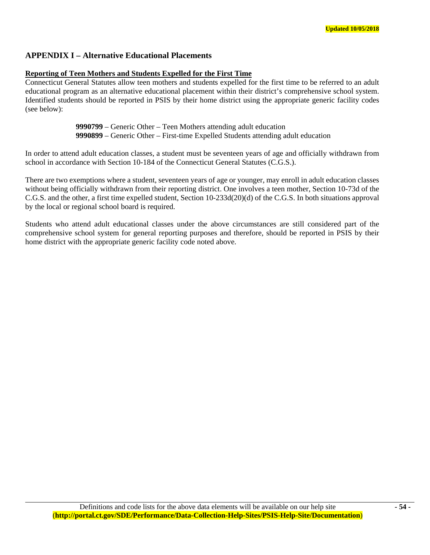# **APPENDIX I – Alternative Educational Placements**

#### **Reporting of Teen Mothers and Students Expelled for the First Time**

Connecticut General Statutes allow teen mothers and students expelled for the first time to be referred to an adult educational program as an alternative educational placement within their district's comprehensive school system. Identified students should be reported in PSIS by their home district using the appropriate generic facility codes (see below):

> **9990799** – Generic Other – Teen Mothers attending adult education **9990899** – Generic Other – First-time Expelled Students attending adult education

In order to attend adult education classes, a student must be seventeen years of age and officially withdrawn from school in accordance with Section 10-184 of the Connecticut General Statutes (C.G.S.).

There are two exemptions where a student, seventeen years of age or younger, may enroll in adult education classes without being officially withdrawn from their reporting district. One involves a teen mother, Section 10-73d of the C.G.S. and the other, a first time expelled student, Section 10-233d(20)(d) of the C.G.S. In both situations approval by the local or regional school board is required.

Students who attend adult educational classes under the above circumstances are still considered part of the comprehensive school system for general reporting purposes and therefore, should be reported in PSIS by their home district with the appropriate generic facility code noted above.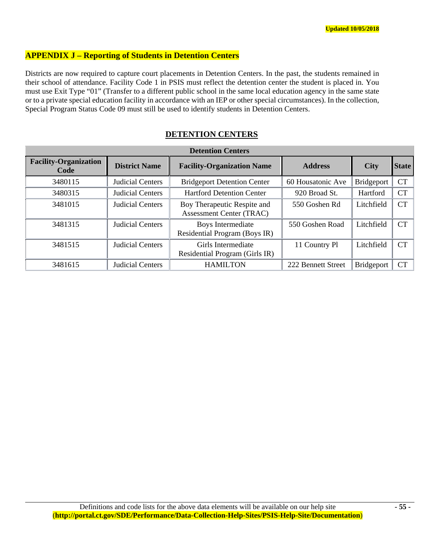# **APPENDIX J – Reporting of Students in Detention Centers**

Districts are now required to capture court placements in Detention Centers. In the past, the students remained in their school of attendance. Facility Code 1 in PSIS must reflect the detention center the student is placed in. You must use Exit Type "01" (Transfer to a different public school in the same local education agency in the same state or to a private special education facility in accordance with an IEP or other special circumstances). In the collection, Special Program Status Code 09 must still be used to identify students in Detention Centers.

| <b>Detention Centers</b>             |                         |                                                                |                    |                   |              |  |  |
|--------------------------------------|-------------------------|----------------------------------------------------------------|--------------------|-------------------|--------------|--|--|
| <b>Facility-Organization</b><br>Code | <b>District Name</b>    | <b>Facility-Organization Name</b>                              | <b>Address</b>     | <b>City</b>       | <b>State</b> |  |  |
| 3480115                              | <b>Judicial Centers</b> | <b>Bridgeport Detention Center</b>                             | 60 Housatonic Ave  | <b>Bridgeport</b> | <b>CT</b>    |  |  |
| 3480315                              | <b>Judicial Centers</b> | <b>Hartford Detention Center</b>                               | 920 Broad St.      | Hartford          | <b>CT</b>    |  |  |
| 3481015                              | <b>Judicial Centers</b> | Boy Therapeutic Respite and<br><b>Assessment Center (TRAC)</b> | 550 Goshen Rd      | Litchfield        | <b>CT</b>    |  |  |
| 3481315                              | <b>Judicial Centers</b> | Boys Intermediate<br>Residential Program (Boys IR)             | 550 Goshen Road    | Litchfield        | <b>CT</b>    |  |  |
| 3481515                              | <b>Judicial Centers</b> | Girls Intermediate<br>Residential Program (Girls IR)           | 11 Country Pl      | Litchfield        | CT           |  |  |
| 3481615                              | <b>Judicial Centers</b> | <b>HAMILTON</b>                                                | 222 Bennett Street | <b>Bridgeport</b> | <b>CT</b>    |  |  |

# **DETENTION CENTERS**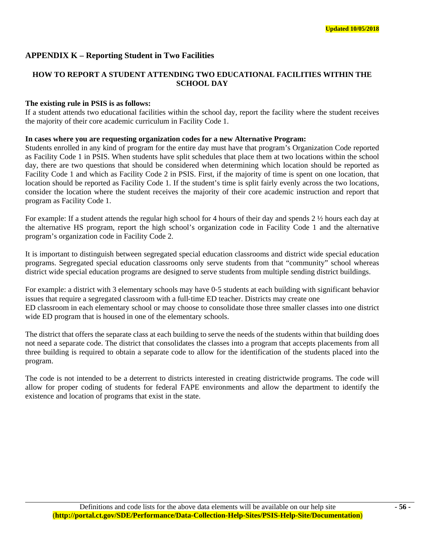# **APPENDIX K – Reporting Student in Two Facilities**

# **HOW TO REPORT A STUDENT ATTENDING TWO EDUCATIONAL FACILITIES WITHIN THE SCHOOL DAY**

# **The existing rule in PSIS is as follows:**

If a student attends two educational facilities within the school day, report the facility where the student receives the majority of their core academic curriculum in Facility Code 1.

# **In cases where you are requesting organization codes for a new Alternative Program:**

Students enrolled in any kind of program for the entire day must have that program's Organization Code reported as Facility Code 1 in PSIS. When students have split schedules that place them at two locations within the school day, there are two questions that should be considered when determining which location should be reported as Facility Code 1 and which as Facility Code 2 in PSIS. First, if the majority of time is spent on one location, that location should be reported as Facility Code 1. If the student's time is split fairly evenly across the two locations, consider the location where the student receives the majority of their core academic instruction and report that program as Facility Code 1.

For example: If a student attends the regular high school for 4 hours of their day and spends 2 ½ hours each day at the alternative HS program, report the high school's organization code in Facility Code 1 and the alternative program's organization code in Facility Code 2.

It is important to distinguish between segregated special education classrooms and district wide special education programs. Segregated special education classrooms only serve students from that "community" school whereas district wide special education programs are designed to serve students from multiple sending district buildings.

For example: a district with 3 elementary schools may have 0-5 students at each building with significant behavior issues that require a segregated classroom with a full‐time ED teacher. Districts may create one ED classroom in each elementary school or may choose to consolidate those three smaller classes into one district wide ED program that is housed in one of the elementary schools.

The district that offers the separate class at each building to serve the needs of the students within that building does not need a separate code. The district that consolidates the classes into a program that accepts placements from all three building is required to obtain a separate code to allow for the identification of the students placed into the program.

The code is not intended to be a deterrent to districts interested in creating districtwide programs. The code will allow for proper coding of students for federal FAPE environments and allow the department to identify the existence and location of programs that exist in the state.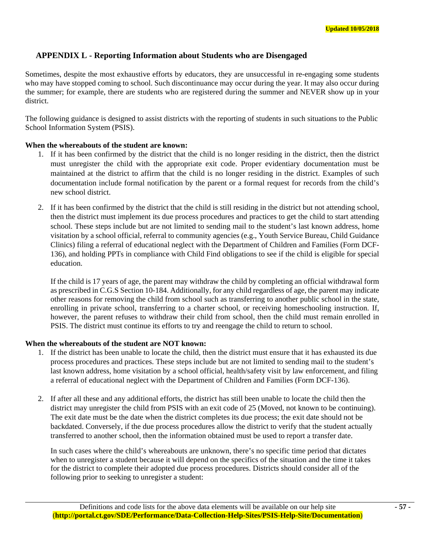# **APPENDIX L - Reporting Information about Students who are Disengaged**

Sometimes, despite the most exhaustive efforts by educators, they are unsuccessful in re-engaging some students who may have stopped coming to school. Such discontinuance may occur during the year. It may also occur during the summer; for example, there are students who are registered during the summer and NEVER show up in your district.

The following guidance is designed to assist districts with the reporting of students in such situations to the Public School Information System (PSIS).

#### **When the whereabouts of the student are known:**

- 1. If it has been confirmed by the district that the child is no longer residing in the district, then the district must unregister the child with the appropriate exit code. Proper evidentiary documentation must be maintained at the district to affirm that the child is no longer residing in the district. Examples of such documentation include formal notification by the parent or a formal request for records from the child's new school district.
- 2. If it has been confirmed by the district that the child is still residing in the district but not attending school, then the district must implement its due process procedures and practices to get the child to start attending school. These steps include but are not limited to sending mail to the student's last known address, home visitation by a school official, referral to community agencies (e.g., Youth Service Bureau, Child Guidance Clinics) filing a referral of educational neglect with the Department of Children and Families (Form DCF-136), and holding PPTs in compliance with Child Find obligations to see if the child is eligible for special education.

If the child is 17 years of age, the parent may withdraw the child by completing an official withdrawal form as prescribed in C.G.S Section 10-184. Additionally, for any child regardless of age, the parent may indicate other reasons for removing the child from school such as transferring to another public school in the state, enrolling in private school, transferring to a charter school, or receiving homeschooling instruction. If, however, the parent refuses to withdraw their child from school, then the child must remain enrolled in PSIS. The district must continue its efforts to try and reengage the child to return to school.

#### **When the whereabouts of the student are NOT known:**

- 1. If the district has been unable to locate the child, then the district must ensure that it has exhausted its due process procedures and practices. These steps include but are not limited to sending mail to the student's last known address, home visitation by a school official, health/safety visit by law enforcement, and filing a referral of educational neglect with the Department of Children and Families (Form DCF-136).
- 2. If after all these and any additional efforts, the district has still been unable to locate the child then the district may unregister the child from PSIS with an exit code of 25 (Moved, not known to be continuing). The exit date must be the date when the district completes its due process; the exit date should not be backdated. Conversely, if the due process procedures allow the district to verify that the student actually transferred to another school, then the information obtained must be used to report a transfer date.

In such cases where the child's whereabouts are unknown, there's no specific time period that dictates when to unregister a student because it will depend on the specifics of the situation and the time it takes for the district to complete their adopted due process procedures. Districts should consider all of the following prior to seeking to unregister a student: